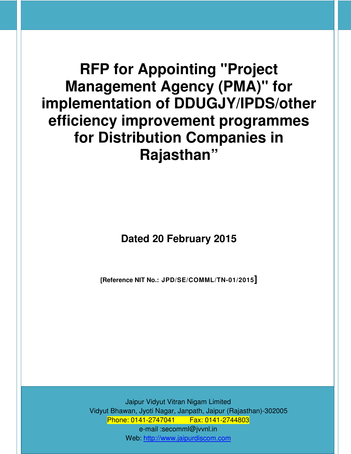**RFP for Appointing "Project Management Agency (PMA)" for implementation of DDUGJY/IPDS/other efficiency improvement programmes for Distribution Companies in Rajasthan"** 

# **Dated 20 February 2015**

**[Reference NIT No.: JPD/SE/COMML/TN-01/2015]**

Jaipur Vidyut Vitran Nigam Limited Vidyut Bhawan, Jyoti Nagar, Janpath, Jaipur (Rajasthan)-302005 Phone: 0141-2747041 Fax: 0141-2744803 e-mail :secomml@jvvnl.in Web: http://www.jaipurdiscom.com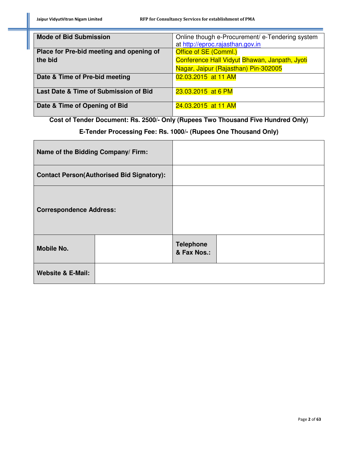| <b>Mode of Bid Submission</b>            | Online though e-Procurement/ e-Tendering system |
|------------------------------------------|-------------------------------------------------|
|                                          | at http://eproc.rajasthan.gov.in                |
| Place for Pre-bid meeting and opening of | Office of SE (Comml.)                           |
| the bid                                  | Conference Hall Vidyut Bhawan, Janpath, Jyoti   |
|                                          | Nagar, Jaipur (Rajasthan) Pin-302005            |
| Date & Time of Pre-bid meeting           | 02.03.2015 at 11 AM                             |
|                                          |                                                 |
| Last Date & Time of Submission of Bid    | 23.03.2015 at 6 PM                              |
|                                          |                                                 |
| Date & Time of Opening of Bid            | 24.03.2015 at 11 AM                             |
|                                          |                                                 |

**Cost of Tender Document: Rs. 2500/- Only (Rupees Two Thousand Five Hundred Only)** 

# **E-Tender Processing Fee: Rs. 1000/- (Rupees One Thousand Only)**

| Name of the Bidding Company/Firm:                |  |                                 |  |
|--------------------------------------------------|--|---------------------------------|--|
| <b>Contact Person(Authorised Bid Signatory):</b> |  |                                 |  |
| <b>Correspondence Address:</b>                   |  |                                 |  |
| <b>Mobile No.</b>                                |  | <b>Telephone</b><br>& Fax Nos.: |  |
| <b>Website &amp; E-Mail:</b>                     |  |                                 |  |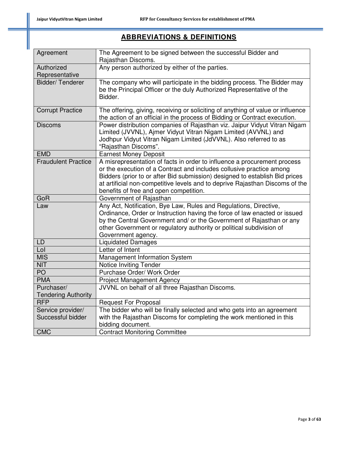# **ABBREVIATIONS & DEFINITIONS**

| Agreement                    | The Agreement to be signed between the successful Bidder and<br>Rajasthan Discoms.                                                                                                                                                                                                                                                                        |
|------------------------------|-----------------------------------------------------------------------------------------------------------------------------------------------------------------------------------------------------------------------------------------------------------------------------------------------------------------------------------------------------------|
| Authorized<br>Representative | Any person authorized by either of the parties.                                                                                                                                                                                                                                                                                                           |
| Bidder/Tenderer              | The company who will participate in the bidding process. The Bidder may<br>be the Principal Officer or the duly Authorized Representative of the<br>Bidder.                                                                                                                                                                                               |
| <b>Corrupt Practice</b>      | The offering, giving, receiving or soliciting of anything of value or influence<br>the action of an official in the process of Bidding or Contract execution.                                                                                                                                                                                             |
| <b>Discoms</b>               | Power distribution companies of Rajasthan viz. Jaipur Vidyut Vitran Nigam<br>Limited (JVVNL), Ajmer Vidyut Vitran Nigam Limited (AVVNL) and<br>Jodhpur Vidyut Vitran Nigam Limited (JdVVNL). Also referred to as<br>"Rajasthan Discoms".                                                                                                                  |
| <b>EMD</b>                   | <b>Earnest Money Deposit</b>                                                                                                                                                                                                                                                                                                                              |
| <b>Fraudulent Practice</b>   | A misrepresentation of facts in order to influence a procurement process<br>or the execution of a Contract and includes collusive practice among<br>Bidders (prior to or after Bid submission) designed to establish Bid prices<br>at artificial non-competitive levels and to deprive Rajasthan Discoms of the<br>benefits of free and open competition. |
| GoR                          | Government of Rajasthan                                                                                                                                                                                                                                                                                                                                   |
| Law                          | Any Act, Notification, Bye Law, Rules and Regulations, Directive,<br>Ordinance, Order or Instruction having the force of law enacted or issued<br>by the Central Government and/ or the Government of Rajasthan or any<br>other Government or regulatory authority or political subdivision of<br>Government agency.                                      |
| <b>LD</b>                    | <b>Liquidated Damages</b>                                                                                                                                                                                                                                                                                                                                 |
| Lol                          | Letter of Intent                                                                                                                                                                                                                                                                                                                                          |
| <b>MIS</b>                   | Management Information System                                                                                                                                                                                                                                                                                                                             |
| <b>NIT</b>                   | Notice Inviting Tender                                                                                                                                                                                                                                                                                                                                    |
| PO                           | Purchase Order/ Work Order                                                                                                                                                                                                                                                                                                                                |
| <b>PMA</b>                   | <b>Project Management Agency</b>                                                                                                                                                                                                                                                                                                                          |
| Purchaser/                   | JVVNL on behalf of all three Rajasthan Discoms.                                                                                                                                                                                                                                                                                                           |
| <b>Tendering Authority</b>   |                                                                                                                                                                                                                                                                                                                                                           |
| <b>RFP</b>                   |                                                                                                                                                                                                                                                                                                                                                           |
|                              | <b>Request For Proposal</b>                                                                                                                                                                                                                                                                                                                               |
| Service provider/            | The bidder who will be finally selected and who gets into an agreement                                                                                                                                                                                                                                                                                    |
| Successful bidder            | with the Rajasthan Discoms for completing the work mentioned in this                                                                                                                                                                                                                                                                                      |
| <b>CMC</b>                   | bidding document.<br><b>Contract Monitoring Committee</b>                                                                                                                                                                                                                                                                                                 |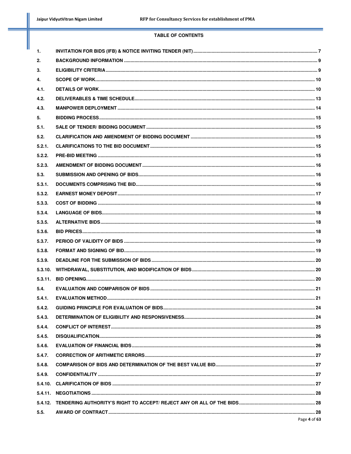#### **TABLE OF CONTENTS**

| 1.     |              |  |
|--------|--------------|--|
| 2.     |              |  |
| 3.     |              |  |
| 4.     |              |  |
| 4.1.   |              |  |
| 4.2.   |              |  |
| 4.3.   |              |  |
| 5.     |              |  |
| 5.1.   |              |  |
| 5.2.   |              |  |
| 5.2.1. |              |  |
| 5.2.2. |              |  |
| 5.2.3. |              |  |
| 5.3.   |              |  |
| 5.3.1. |              |  |
| 5.3.2. |              |  |
| 5.3.3. |              |  |
| 5.3.4. |              |  |
| 5.3.5. |              |  |
| 5.3.6. |              |  |
| 5.3.7. |              |  |
| 5.3.8. |              |  |
| 5.3.9. |              |  |
|        |              |  |
|        |              |  |
| 5.4.   |              |  |
| 5.4.1. |              |  |
| 5.4.2. |              |  |
| 5.4.3. |              |  |
| 5.4.4. |              |  |
| 5.4.5. |              |  |
| 5.4.6. |              |  |
| 5.4.7. |              |  |
| 5.4.8. |              |  |
| 5.4.9. |              |  |
|        |              |  |
|        |              |  |
|        |              |  |
| 5.5.   |              |  |
|        | Page 4 of 63 |  |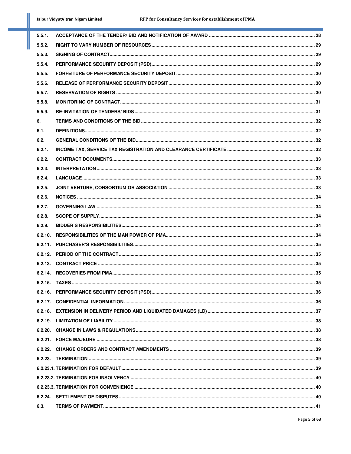| 5.5.1.  |  |
|---------|--|
| 5.5.2.  |  |
| 5.5.3.  |  |
| 5.5.4.  |  |
| 5.5.5.  |  |
| 5.5.6.  |  |
| 5.5.7.  |  |
| 5.5.8.  |  |
| 5.5.9.  |  |
| 6.      |  |
| 6.1.    |  |
| 6.2.    |  |
| 6.2.1.  |  |
| 6.2.2.  |  |
| 6.2.3.  |  |
| 6.2.4.  |  |
| 6.2.5.  |  |
| 6.2.6.  |  |
| 6.2.7.  |  |
| 6.2.8.  |  |
| 6.2.9.  |  |
| 6.2.10. |  |
|         |  |
|         |  |
|         |  |
|         |  |
|         |  |
|         |  |
|         |  |
|         |  |
|         |  |
|         |  |
|         |  |
|         |  |
|         |  |
|         |  |
|         |  |
|         |  |
|         |  |
| 6.3.    |  |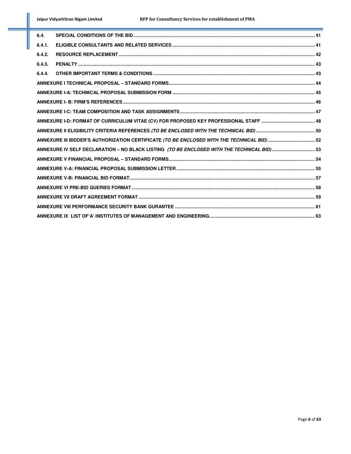| 6.4.   |                                                                                            |  |
|--------|--------------------------------------------------------------------------------------------|--|
| 6.4.1. |                                                                                            |  |
| 6.4.2. |                                                                                            |  |
| 6.4.3. |                                                                                            |  |
| 6.4.4. |                                                                                            |  |
|        |                                                                                            |  |
|        |                                                                                            |  |
|        |                                                                                            |  |
|        |                                                                                            |  |
|        |                                                                                            |  |
|        |                                                                                            |  |
|        | ANNEXURE III BIDDER'S AUTHORIZATION CERTIFICATE (TO BE ENCLOSED WITH THE TECHNICAL BID) 52 |  |
|        | ANNEXURE IV SELF DECLARATION - NO BLACK LISTING (TO BE ENCLOSED WITH THE TECHNICAL BID) 53 |  |
|        |                                                                                            |  |
|        |                                                                                            |  |
|        |                                                                                            |  |
|        |                                                                                            |  |
|        |                                                                                            |  |
|        |                                                                                            |  |
|        |                                                                                            |  |
|        |                                                                                            |  |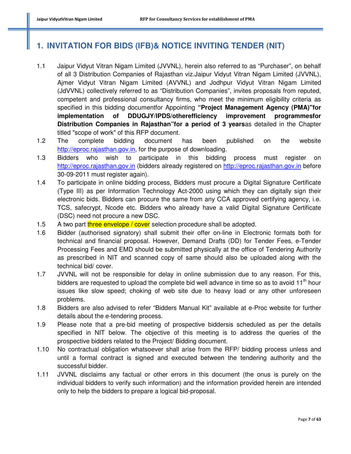# **1. INVITATION FOR BIDS (IFB)& NOTICE INVITING TENDER (NIT)**

- 1.1 Jaipur Vidyut Vitran Nigam Limited (JVVNL), herein also referred to as "Purchaser", on behalf of all 3 Distribution Companies of Rajasthan viz.Jaipur Vidyut Vitran Nigam Limited (JVVNL), Ajmer Vidyut Vitran Nigam Limited (AVVNL) and Jodhpur Vidyut Vitran Nigam Limited (JdVVNL) collectively referred to as "Distribution Companies", invites proposals from reputed, competent and professional consultancy firms, who meet the minimum eligibility criteria as specified in this bidding documentfor Appointing **"Project Management Agency (PMA)"for implementation of DDUGJY/IPDS/otherefficiency improvement programmesfor Distribution Companies in Rajasthan"for a period of 3 years**as detailed in the Chapter titled "scope of work" of this RFP document.
- 1.2 The complete bidding document has been published on the website http://eproc.rajasthan.gov.in, for the purpose of downloading.
- 1.3 Bidders who wish to participate in this bidding process must register on http://eproc.rajasthan.gov.in (bidders already registered on http://eproc.rajasthan.gov.in before 30-09-2011 must register again).
- 1.4 To participate in online bidding process, Bidders must procure a Digital Signature Certificate (Type III) as per Information Technology Act-2000 using which they can digitally sign their electronic bids. Bidders can procure the same from any CCA approved certifying agency, i.e. TCS, safecrypt, Ncode etc. Bidders who already have a valid Digital Signature Certificate (DSC) need not procure a new DSC.
- 1.5 A two part three envelope / cover selection procedure shall be adopted.
- 1.6 Bidder (authorised signatory) shall submit their offer on-line in Electronic formats both for technical and financial proposal. However, Demand Drafts (DD) for Tender Fees, e-Tender Processing Fees and EMD should be submitted physically at the office of Tendering Authority as prescribed in NIT and scanned copy of same should also be uploaded along with the technical bid/ cover.
- 1.7 JVVNL will not be responsible for delay in online submission due to any reason. For this, bidders are requested to upload the complete bid well advance in time so as to avoid  $11<sup>th</sup>$  hour issues like slow speed; choking of web site due to heavy load or any other unforeseen problems.
- 1.8 Bidders are also advised to refer "Bidders Manual Kit" available at e-Proc website for further details about the e-tendering process.
- 1.9 Please note that a pre-bid meeting of prospective biddersis scheduled as per the details specified in NIT below. The objective of this meeting is to address the queries of the prospective bidders related to the Project/ Bidding document.
- 1.10 No contractual obligation whatsoever shall arise from the RFP/ bidding process unless and until a formal contract is signed and executed between the tendering authority and the successful bidder.
- 1.11 JVVNL disclaims any factual or other errors in this document (the onus is purely on the individual bidders to verify such information) and the information provided herein are intended only to help the bidders to prepare a logical bid-proposal.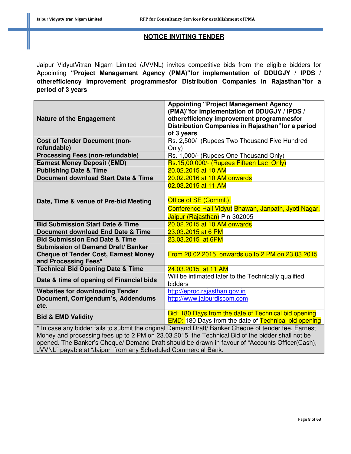#### **NOTICE INVITING TENDER**

Jaipur VidyutVitran Nigam Limited (JVVNL) invites competitive bids from the eligible bidders for Appointing **"Project Management Agency (PMA)"for implementation of DDUGJY / IPDS / otherefficiency improvement programmesfor Distribution Companies in Rajasthan"for a period of 3 years**

| <b>Nature of the Engagement</b>                                                                                                                                                                                                                                                                                                                       | <b>Appointing "Project Management Agency</b><br>(PMA)"for implementation of DDUGJY / IPDS /<br>otherefficiency improvement programmesfor |
|-------------------------------------------------------------------------------------------------------------------------------------------------------------------------------------------------------------------------------------------------------------------------------------------------------------------------------------------------------|------------------------------------------------------------------------------------------------------------------------------------------|
|                                                                                                                                                                                                                                                                                                                                                       | Distribution Companies in Rajasthan" for a period                                                                                        |
|                                                                                                                                                                                                                                                                                                                                                       | of 3 years                                                                                                                               |
| <b>Cost of Tender Document (non-</b><br>refundable)                                                                                                                                                                                                                                                                                                   | Rs. 2,500/- (Rupees Two Thousand Five Hundred<br>Only)                                                                                   |
| <b>Processing Fees (non-refundable)</b>                                                                                                                                                                                                                                                                                                               | Rs. 1,000/- (Rupees One Thousand Only)                                                                                                   |
| <b>Earnest Money Deposit (EMD)</b>                                                                                                                                                                                                                                                                                                                    | Rs.15,00,000/- (Rupees Fifteen Lac Only)                                                                                                 |
| <b>Publishing Date &amp; Time</b>                                                                                                                                                                                                                                                                                                                     | 20.02.2015 at 10 AM                                                                                                                      |
| <b>Document download Start Date &amp; Time</b>                                                                                                                                                                                                                                                                                                        | 20.02.2016 at 10 AM onwards                                                                                                              |
|                                                                                                                                                                                                                                                                                                                                                       | 02.03.2015 at 11 AM                                                                                                                      |
|                                                                                                                                                                                                                                                                                                                                                       |                                                                                                                                          |
| Date, Time & venue of Pre-bid Meeting                                                                                                                                                                                                                                                                                                                 | Office of SE (Comml.),                                                                                                                   |
|                                                                                                                                                                                                                                                                                                                                                       | Conference Hall Vidyut Bhawan, Janpath, Jyoti Nagar,                                                                                     |
|                                                                                                                                                                                                                                                                                                                                                       | Jaipur (Rajasthan) Pin-302005                                                                                                            |
| <b>Bid Submission Start Date &amp; Time</b>                                                                                                                                                                                                                                                                                                           | 20.02.2015 at 10 AM onwards                                                                                                              |
| <b>Document download End Date &amp; Time</b>                                                                                                                                                                                                                                                                                                          | 23.03.2015 at 6 PM                                                                                                                       |
| <b>Bid Submission End Date &amp; Time</b>                                                                                                                                                                                                                                                                                                             | 23.03.2015 at 6PM                                                                                                                        |
| <b>Submission of Demand Draft/ Banker</b>                                                                                                                                                                                                                                                                                                             |                                                                                                                                          |
| <b>Cheque of Tender Cost, Earnest Money</b>                                                                                                                                                                                                                                                                                                           | From 20.02.2015 onwards up to 2 PM on 23.03.2015                                                                                         |
| and Processing Fees*                                                                                                                                                                                                                                                                                                                                  |                                                                                                                                          |
| <b>Technical Bid Opening Date &amp; Time</b>                                                                                                                                                                                                                                                                                                          | 24.03.2015 at 11 AM                                                                                                                      |
| Date & time of opening of Financial bids                                                                                                                                                                                                                                                                                                              | Will be intimated later to the Technically qualified<br>bidders                                                                          |
| <b>Websites for downloading Tender</b>                                                                                                                                                                                                                                                                                                                | http://eproc.rajasthan.gov.in                                                                                                            |
| Document, Corrigendum's, Addendums<br>etc.                                                                                                                                                                                                                                                                                                            | http://www.jaipurdiscom.com                                                                                                              |
| <b>Bid &amp; EMD Validity</b>                                                                                                                                                                                                                                                                                                                         | Bid: 180 Days from the date of Technical bid opening<br><b>EMD:</b> 180 Days from the date of Technical bid opening                      |
| * In case any bidder fails to submit the original Demand Draft/ Banker Cheque of tender fee, Earnest<br>Money and processing fees up to 2 PM on 23.03.2015 the Technical Bid of the bidder shall not be<br>$\mathbf{L}$ . The Deplected Observed December Ductional Leading december for example $\mathbf{M}$ are units $\mathbf{M}$ and $\mathbf{O}$ |                                                                                                                                          |

opened. The Banker's Cheque/ Demand Draft should be drawn in favour of "Accounts Officer(Cash), JVVNL" payable at "Jaipur" from any Scheduled Commercial Bank.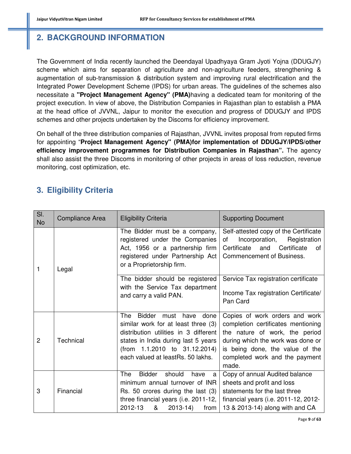# **2. BACKGROUND INFORMATION**

The Government of India recently launched the Deendayal Upadhyaya Gram Jyoti Yojna (DDUGJY) scheme which aims for separation of agriculture and non-agriculture feeders, strengthening & augmentation of sub-transmission & distribution system and improving rural electrification and the Integrated Power Development Scheme (IPDS) for urban areas. The guidelines of the schemes also necessitate a **"Project Management Agency" (PMA)**having a dedicated team for monitoring of the project execution. In view of above, the Distribution Companies in Rajasthan plan to establish a PMA at the head office of JVVNL, Jaipur to monitor the execution and progress of DDUGJY and IPDS schemes and other projects undertaken by the Discoms for efficiency improvement.

On behalf of the three distribution companies of Rajasthan, JVVNL invites proposal from reputed firms for appointing "**Project Management Agency" (PMA)for implementation of DDUGJY/IPDS/other efficiency improvement programmes for Distribution Companies in Rajasthan".** The agency shall also assist the three Discoms in monitoring of other projects in areas of loss reduction, revenue monitoring, cost optimization, etc.

# **3. Eligibility Criteria**

| SI.<br><b>No</b> | Compliance Area | <b>Eligibility Criteria</b>                                                                                                                                                                                                         | <b>Supporting Document</b>                                                                                                                                                                                                |  |
|------------------|-----------------|-------------------------------------------------------------------------------------------------------------------------------------------------------------------------------------------------------------------------------------|---------------------------------------------------------------------------------------------------------------------------------------------------------------------------------------------------------------------------|--|
| 1                | Legal           | The Bidder must be a company,<br>registered under the Companies<br>Act, 1956 or a partnership firm<br>registered under Partnership Act<br>or a Proprietorship firm.                                                                 | Self-attested copy of the Certificate<br>Incorporation,<br>Registration<br>of<br>Certificate<br>Certificate and<br>of<br>Commencement of Business.                                                                        |  |
|                  |                 | The bidder should be registered<br>with the Service Tax department<br>and carry a valid PAN.                                                                                                                                        | Service Tax registration certificate<br>Income Tax registration Certificate/<br>Pan Card                                                                                                                                  |  |
| $\overline{2}$   | Technical       | <b>The</b><br>Bidder must have<br>done<br>similar work for at least three (3)<br>distribution utilities in 3 different<br>states in India during last 5 years<br>(from 1.1.2010 to 31.12.2014)<br>each valued at leastRs. 50 lakhs. | Copies of work orders and work<br>completion certificates mentioning<br>the nature of work, the period<br>during which the work was done or<br>is being done, the value of the<br>completed work and the payment<br>made. |  |
| 3                | Financial       | <b>Bidder</b><br>The<br>should<br>have<br>a<br>minimum annual turnover of INR<br>Rs. 50 crores during the last (3)<br>three financial years (i.e. $2011-12$ ,<br>2012-13<br>&<br>$2013 - 14$<br>from                                | Copy of annual Audited balance<br>sheets and profit and loss<br>statements for the last three<br>financial years (i.e. 2011-12, 2012-<br>13 & 2013-14) along with and CA                                                  |  |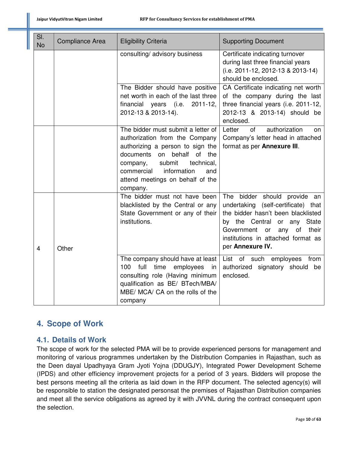| SI.<br><b>No</b> | Compliance Area | <b>Eligibility Criteria</b>                                                                                                                                                                                                                                          | <b>Supporting Document</b>                                                                                                                                                                                                                      |  |
|------------------|-----------------|----------------------------------------------------------------------------------------------------------------------------------------------------------------------------------------------------------------------------------------------------------------------|-------------------------------------------------------------------------------------------------------------------------------------------------------------------------------------------------------------------------------------------------|--|
|                  |                 | consulting/ advisory business                                                                                                                                                                                                                                        | Certificate indicating turnover<br>during last three financial years<br>(i.e. 2011-12, 2012-13 & 2013-14)<br>should be enclosed.                                                                                                                |  |
|                  |                 | The Bidder should have positive<br>net worth in each of the last three<br>financial years (i.e.<br>$2011 - 12$ ,<br>2012-13 & 2013-14).                                                                                                                              | CA Certificate indicating net worth<br>of the company during the last<br>three financial years (i.e. 2011-12,<br>2012-13 & 2013-14) should be<br>enclosed.                                                                                      |  |
|                  |                 | The bidder must submit a letter of<br>authorization from the Company<br>authorizing a person to sign the<br>documents on<br>behalf<br>of the<br>submit<br>technical,<br>company,<br>commercial<br>information<br>and<br>attend meetings on behalf of the<br>company. | authorization<br>of<br>Letter<br>on<br>Company's letter head in attached<br>format as per Annexure III.                                                                                                                                         |  |
| 4                | Other           | The bidder must not have been<br>blacklisted by the Central or any<br>State Government or any of their<br>institutions.                                                                                                                                              | The bidder should provide an<br>undertaking (self-certificate) that<br>the bidder hasn't been blacklisted<br>by the Central or any<br>State<br>Government<br>of<br>their<br>or<br>any<br>institutions in attached format as<br>per Annexure IV. |  |
|                  |                 | The company should have at least<br>100<br>full<br>time<br>employees<br>in<br>consulting role (Having minimum<br>qualification as BE/ BTech/MBA/<br>MBE/ MCA/ CA on the rolls of the<br>company                                                                      | List of such employees<br>from<br>authorized signatory should be<br>enclosed.                                                                                                                                                                   |  |

# **4. Scope of Work**

# **4.1. Details of Work**

The scope of work for the selected PMA will be to provide experienced persons for management and monitoring of various programmes undertaken by the Distribution Companies in Rajasthan, such as the Deen dayal Upadhyaya Gram Jyoti Yojna (DDUGJY), Integrated Power Development Scheme (IPDS) and other efficiency improvement projects for a period of 3 years. Bidders will propose the best persons meeting all the criteria as laid down in the RFP document. The selected agency(s) will be responsible to station the designated personsat the premises of Rajasthan Distribution companies and meet all the service obligations as agreed by it with JVVNL during the contract consequent upon the selection.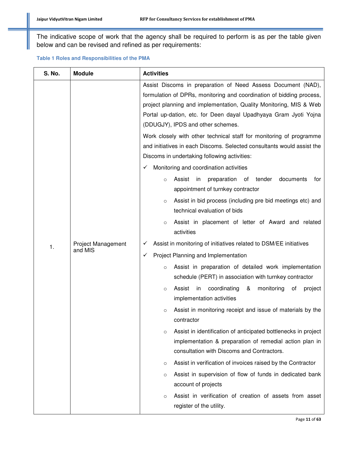The indicative scope of work that the agency shall be required to perform is as per the table given below and can be revised and refined as per requirements:

|  | Table 1 Roles and Responsibilities of the PMA |
|--|-----------------------------------------------|
|--|-----------------------------------------------|

| <b>S. No.</b> | <b>Module</b>                        | <b>Activities</b>                                                                                                                                                                                                                                                                                                                                                                                                                                                                                                                                                                                                                                 |  |
|---------------|--------------------------------------|---------------------------------------------------------------------------------------------------------------------------------------------------------------------------------------------------------------------------------------------------------------------------------------------------------------------------------------------------------------------------------------------------------------------------------------------------------------------------------------------------------------------------------------------------------------------------------------------------------------------------------------------------|--|
|               |                                      | Assist Discoms in preparation of Need Assess Document (NAD),<br>formulation of DPRs, monitoring and coordination of bidding process,<br>project planning and implementation, Quality Monitoring, MIS & Web<br>Portal up-dation, etc. for Deen dayal Upadhyaya Gram Jyoti Yojna<br>(DDUGJY), IPDS and other schemes.<br>Work closely with other technical staff for monitoring of programme<br>and initiatives in each Discoms. Selected consultants would assist the<br>Discoms in undertaking following activities:<br>Monitoring and coordination activities<br>✓<br>Assist<br>in<br>preparation<br>οf<br>tender<br>documents<br>for<br>$\circ$ |  |
|               |                                      | appointment of turnkey contractor<br>Assist in bid process (including pre bid meetings etc) and<br>$\circ$<br>technical evaluation of bids                                                                                                                                                                                                                                                                                                                                                                                                                                                                                                        |  |
|               | <b>Project Management</b><br>and MIS | Assist in placement of letter of Award and related<br>$\circ$<br>activities                                                                                                                                                                                                                                                                                                                                                                                                                                                                                                                                                                       |  |
| 1.            |                                      | Assist in monitoring of initiatives related to DSM/EE initiatives<br>✓                                                                                                                                                                                                                                                                                                                                                                                                                                                                                                                                                                            |  |
|               |                                      | Project Planning and Implementation<br>✓                                                                                                                                                                                                                                                                                                                                                                                                                                                                                                                                                                                                          |  |
|               |                                      | Assist in preparation of detailed work implementation<br>$\circ$<br>schedule (PERT) in association with turnkey contractor                                                                                                                                                                                                                                                                                                                                                                                                                                                                                                                        |  |
|               |                                      | coordinating<br>monitoring<br>Assist<br>in<br>&<br>оf<br>project<br>$\circ$<br>implementation activities                                                                                                                                                                                                                                                                                                                                                                                                                                                                                                                                          |  |
|               |                                      | Assist in monitoring receipt and issue of materials by the<br>$\circ$<br>contractor                                                                                                                                                                                                                                                                                                                                                                                                                                                                                                                                                               |  |
|               |                                      | Assist in identification of anticipated bottlenecks in project<br>$\circ$<br>implementation & preparation of remedial action plan in<br>consultation with Discoms and Contractors.                                                                                                                                                                                                                                                                                                                                                                                                                                                                |  |
|               |                                      | Assist in verification of invoices raised by the Contractor<br>$\circ$                                                                                                                                                                                                                                                                                                                                                                                                                                                                                                                                                                            |  |
|               |                                      | Assist in supervision of flow of funds in dedicated bank<br>$\circ$<br>account of projects                                                                                                                                                                                                                                                                                                                                                                                                                                                                                                                                                        |  |
|               |                                      | Assist in verification of creation of assets from asset<br>$\circ$<br>register of the utility.                                                                                                                                                                                                                                                                                                                                                                                                                                                                                                                                                    |  |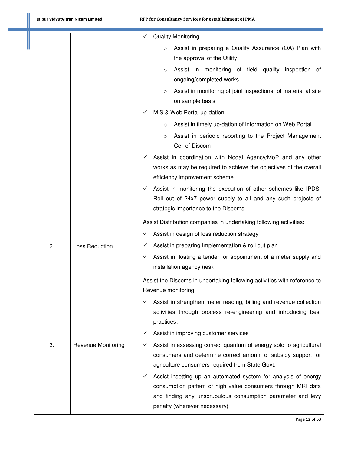|    |                           | ✓            | <b>Quality Monitoring</b>                                                                                                                                                                                                     |
|----|---------------------------|--------------|-------------------------------------------------------------------------------------------------------------------------------------------------------------------------------------------------------------------------------|
|    |                           |              | Assist in preparing a Quality Assurance (QA) Plan with<br>$\circ$                                                                                                                                                             |
|    |                           |              | the approval of the Utility                                                                                                                                                                                                   |
|    |                           |              | Assist in monitoring of field quality inspection of<br>$\circ$<br>ongoing/completed works                                                                                                                                     |
|    |                           |              | Assist in monitoring of joint inspections of material at site<br>$\circ$<br>on sample basis                                                                                                                                   |
|    |                           | ✓            | MIS & Web Portal up-dation                                                                                                                                                                                                    |
|    |                           |              | Assist in timely up-dation of information on Web Portal<br>$\circ$                                                                                                                                                            |
|    |                           |              | Assist in periodic reporting to the Project Management<br>$\circ$<br>Cell of Discom                                                                                                                                           |
|    |                           |              | Assist in coordination with Nodal Agency/MoP and any other<br>works as may be required to achieve the objectives of the overall<br>efficiency improvement scheme                                                              |
|    |                           |              | Assist in monitoring the execution of other schemes like IPDS,<br>Roll out of 24x7 power supply to all and any such projects of<br>strategic importance to the Discoms                                                        |
|    |                           |              | Assist Distribution companies in undertaking following activities:                                                                                                                                                            |
|    |                           | ✓            | Assist in design of loss reduction strategy                                                                                                                                                                                   |
| 2. | Loss Reduction            | ✓            | Assist in preparing Implementation & roll out plan                                                                                                                                                                            |
|    |                           | ✓            | Assist in floating a tender for appointment of a meter supply and<br>installation agency (ies).                                                                                                                               |
|    |                           |              | Assist the Discoms in undertaking following activities with reference to                                                                                                                                                      |
|    |                           |              | Revenue monitoring:                                                                                                                                                                                                           |
|    |                           | ✓            | Assist in strengthen meter reading, billing and revenue collection<br>activities through process re-engineering and introducing best<br>practices;                                                                            |
|    |                           | ✓            | Assist in improving customer services                                                                                                                                                                                         |
| 3. | <b>Revenue Monitoring</b> | ✓            | Assist in assessing correct quantum of energy sold to agricultural<br>consumers and determine correct amount of subsidy support for<br>agriculture consumers required from State Govt;                                        |
|    |                           | $\checkmark$ | Assist insetting up an automated system for analysis of energy<br>consumption pattern of high value consumers through MRI data<br>and finding any unscrupulous consumption parameter and levy<br>penalty (wherever necessary) |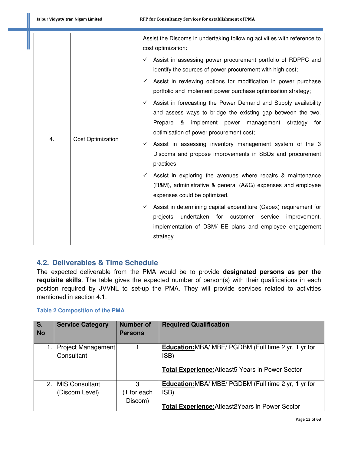|    | <b>Cost Optimization</b> | Assist the Discoms in undertaking following activities with reference to<br>cost optimization:                                                                                                                                                                                                               |  |  |
|----|--------------------------|--------------------------------------------------------------------------------------------------------------------------------------------------------------------------------------------------------------------------------------------------------------------------------------------------------------|--|--|
|    |                          | Assist in assessing power procurement portfolio of RDPPC and<br>✓<br>identify the sources of power procurement with high cost;                                                                                                                                                                               |  |  |
|    |                          | Assist in reviewing options for modification in power purchase<br>✓<br>portfolio and implement power purchase optimisation strategy;                                                                                                                                                                         |  |  |
| 4. |                          | Assist in forecasting the Power Demand and Supply availability<br>✓<br>and assess ways to bridge the existing gap between the two.<br>implement power management strategy<br>Prepare<br>&<br>for<br>optimisation of power procurement cost;<br>Assist in assessing inventory management system of the 3<br>✓ |  |  |
|    |                          | Discoms and propose improvements in SBDs and procurement<br>practices                                                                                                                                                                                                                                        |  |  |
|    |                          | Assist in exploring the avenues where repairs & maintenance<br>$\checkmark$<br>(R&M), administrative & general (A&G) expenses and employee<br>expenses could be optimized.                                                                                                                                   |  |  |
|    |                          | Assist in determining capital expenditure (Capex) requirement for<br>✓<br>projects<br>undertaken for customer<br>service<br>improvement,<br>implementation of DSM/ EE plans and employee engagement<br>strategy                                                                                              |  |  |

# **4.2. Deliverables & Time Schedule**

The expected deliverable from the PMA would be to provide **designated persons as per the requisite skills**. The table gives the expected number of person(s) with their qualifications in each position required by JVVNL to set-up the PMA. They will provide services related to activities mentioned in section 4.1.

#### **Table 2 Composition of the PMA**

| $\overline{\mathsf{s}}$ .<br><b>No</b> | <b>Service Category</b>                 | <b>Number of</b><br><b>Persons</b> | <b>Required Qualification</b>                                                                                                   |  |
|----------------------------------------|-----------------------------------------|------------------------------------|---------------------------------------------------------------------------------------------------------------------------------|--|
|                                        | Project Management<br>Consultant        |                                    | <b>Education:</b> MBA/ MBE/ PGDBM (Full time 2 yr, 1 yr for<br>ISB)<br><b>Total Experience: Atleast 5 Years in Power Sector</b> |  |
| 2 <sub>1</sub>                         | <b>MIS Consultant</b><br>(Discom Level) | 3<br>(1 for each<br>Discom)        | <b>Education:</b> MBA/ MBE/ PGDBM (Full time 2 yr, 1 yr for<br>ISB)<br><b>Total Experience: Atleast 2Years in Power Sector</b>  |  |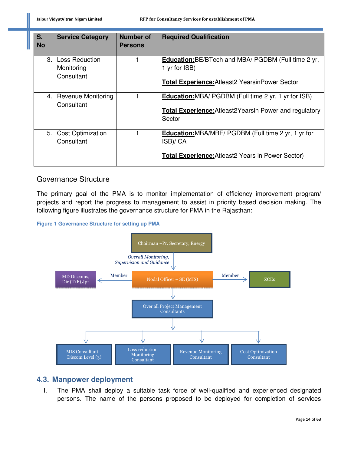| $S_{1}$<br><b>No</b> | <b>Service Category</b>                    | <b>Number of</b><br><b>Persons</b> | <b>Required Qualification</b>                                                                                                            |
|----------------------|--------------------------------------------|------------------------------------|------------------------------------------------------------------------------------------------------------------------------------------|
| 3.                   | Loss Reduction<br>Monitoring<br>Consultant |                                    | <b>Education:</b> BE/BTech and MBA/ PGDBM (Full time 2 yr,<br>1 yr for ISB)<br><b>Total Experience:</b> Atleast 2 Yearsin Power Sector   |
| 4.1                  | <b>Revenue Monitoring</b><br>Consultant    |                                    | <b>Education:</b> MBA/ PGDBM (Full time 2 yr, 1 yr for ISB)<br><b>Total Experience:</b> Atleast 2Y earsin Power and regulatory<br>Sector |
| 5.1                  | <b>Cost Optimization</b><br>Consultant     |                                    | <b>Education:</b> MBA/MBE/ PGDBM (Full time 2 yr, 1 yr for<br>ISB)/ CA<br><b>Total Experience:</b> Atleast 2 Years in Power Sector)      |

# Governance Structure

The primary goal of the PMA is to monitor implementation of efficiency improvement program/ projects and report the progress to management to assist in priority based decision making. The following figure illustrates the governance structure for PMA in the Rajasthan:

#### **Figure 1 Governance Structure for setting up PMA**



# **4.3. Manpower deployment**

I. The PMA shall deploy a suitable task force of well-qualified and experienced designated persons. The name of the persons proposed to be deployed for completion of services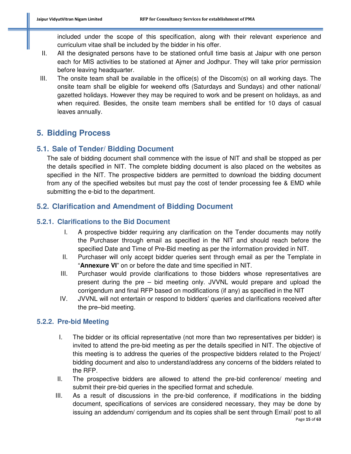included under the scope of this specification, along with their relevant experience and curriculum vitae shall be included by the bidder in his offer.

- II. All the designated persons have to be stationed onfull time basis at Jaipur with one person each for MIS activities to be stationed at Ajmer and Jodhpur. They will take prior permission before leaving headquarter.
- III. The onsite team shall be available in the office(s) of the Discom(s) on all working days. The onsite team shall be eligible for weekend offs (Saturdays and Sundays) and other national/ gazetted holidays. However they may be required to work and be present on holidays, as and when required. Besides, the onsite team members shall be entitled for 10 days of casual leaves annually.

# **5. Bidding Process**

# **5.1. Sale of Tender/ Bidding Document**

The sale of bidding document shall commence with the issue of NIT and shall be stopped as per the details specified in NIT. The complete bidding document is also placed on the websites as specified in the NIT. The prospective bidders are permitted to download the bidding document from any of the specified websites but must pay the cost of tender processing fee & EMD while submitting the e-bid to the department.

# **5.2. Clarification and Amendment of Bidding Document**

# **5.2.1. Clarifications to the Bid Document**

- I. A prospective bidder requiring any clarification on the Tender documents may notify the Purchaser through email as specified in the NIT and should reach before the specified Date and Time of Pre-Bid meeting as per the information provided in NIT.
- II. Purchaser will only accept bidder queries sent through email as per the Template in "**Annexure VI**" on or before the date and time specified in NIT.
- III. Purchaser would provide clarifications to those bidders whose representatives are present during the pre – bid meeting only. JVVNL would prepare and upload the corrigendum and final RFP based on modifications (if any) as specified in the NIT
- IV. JVVNL will not entertain or respond to bidders' queries and clarifications received after the pre–bid meeting.

# **5.2.2. Pre-bid Meeting**

- I. The bidder or its official representative (not more than two representatives per bidder) is invited to attend the pre-bid meeting as per the details specified in NIT. The objective of this meeting is to address the queries of the prospective bidders related to the Project/ bidding document and also to understand/address any concerns of the bidders related to the RFP.
- II. The prospective bidders are allowed to attend the pre-bid conference/ meeting and submit their pre-bid queries in the specified format and schedule.
- Page **15** of **63** III. As a result of discussions in the pre-bid conference, if modifications in the bidding document, specifications of services are considered necessary, they may be done by issuing an addendum/ corrigendum and its copies shall be sent through Email/ post to all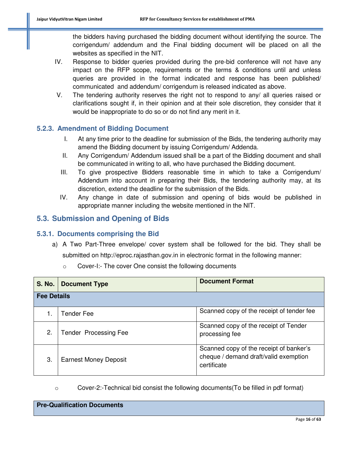the bidders having purchased the bidding document without identifying the source. The corrigendum/ addendum and the Final bidding document will be placed on all the websites as specified in the NIT.

- IV. Response to bidder queries provided during the pre-bid conference will not have any impact on the RFP scope, requirements or the terms & conditions until and unless queries are provided in the format indicated and response has been published/ communicated and addendum/ corrigendum is released indicated as above.
- V. The tendering authority reserves the right not to respond to any/ all queries raised or clarifications sought if, in their opinion and at their sole discretion, they consider that it would be inappropriate to do so or do not find any merit in it.

# **5.2.3. Amendment of Bidding Document**

- I. At any time prior to the deadline for submission of the Bids, the tendering authority may amend the Bidding document by issuing Corrigendum/ Addenda.
- II. Any Corrigendum/ Addendum issued shall be a part of the Bidding document and shall be communicated in writing to all, who have purchased the Bidding document.
- III. To give prospective Bidders reasonable time in which to take a Corrigendum/ Addendum into account in preparing their Bids, the tendering authority may, at its discretion, extend the deadline for the submission of the Bids.
- IV. Any change in date of submission and opening of bids would be published in appropriate manner including the website mentioned in the NIT.

# **5.3. Submission and Opening of Bids**

# **5.3.1. Documents comprising the Bid**

a) A Two Part-Three envelope/ cover system shall be followed for the bid. They shall be submitted on http://eproc.rajasthan.gov.in in electronic format in the following manner:

| <b>S. No.</b> | <b>Document Type</b>         | <b>Document Format</b>                                                                          |  |  |
|---------------|------------------------------|-------------------------------------------------------------------------------------------------|--|--|
|               | <b>Fee Details</b>           |                                                                                                 |  |  |
|               | Tender Fee                   | Scanned copy of the receipt of tender fee                                                       |  |  |
| 2.            | <b>Tender Processing Fee</b> | Scanned copy of the receipt of Tender<br>processing fee                                         |  |  |
| 3.            | <b>Earnest Money Deposit</b> | Scanned copy of the receipt of banker's<br>cheque / demand draft/valid exemption<br>certificate |  |  |

o Cover-I:- The cover One consist the following documents

o Cover-2:-Technical bid consist the following documents(To be filled in pdf format)

**Pre-Qualification Documents**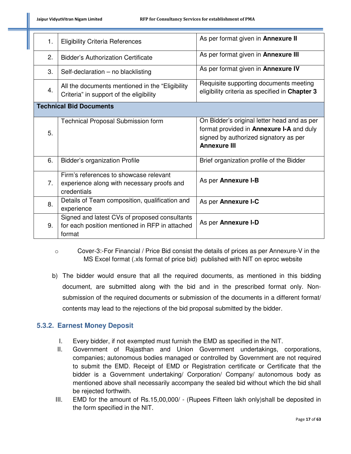| 1. | <b>Eligibility Criteria References</b>                                                                    | As per format given in <b>Annexure II</b>                                                                                                                      |  |
|----|-----------------------------------------------------------------------------------------------------------|----------------------------------------------------------------------------------------------------------------------------------------------------------------|--|
| 2. | <b>Bidder's Authorization Certificate</b>                                                                 | As per format given in <b>Annexure III</b>                                                                                                                     |  |
| 3. | Self-declaration - no blacklisting                                                                        | As per format given in Annexure IV                                                                                                                             |  |
| 4. | All the documents mentioned in the "Eligibility"<br>Criteria" in support of the eligibility               | Requisite supporting documents meeting<br>eligibility criteria as specified in Chapter 3                                                                       |  |
|    | <b>Technical Bid Documents</b>                                                                            |                                                                                                                                                                |  |
| 5. | <b>Technical Proposal Submission form</b>                                                                 | On Bidder's original letter head and as per<br>format provided in <b>Annexure I-A</b> and duly<br>signed by authorized signatory as per<br><b>Annexure III</b> |  |
| 6. | <b>Bidder's organization Profile</b>                                                                      | Brief organization profile of the Bidder                                                                                                                       |  |
| 7. | Firm's references to showcase relevant<br>experience along with necessary proofs and<br>credentials       | As per Annexure I-B                                                                                                                                            |  |
| 8. | Details of Team composition, qualification and<br>experience                                              | As per Annexure I-C                                                                                                                                            |  |
| 9. | Signed and latest CVs of proposed consultants<br>for each position mentioned in RFP in attached<br>format | As per Annexure I-D                                                                                                                                            |  |

- o Cover-3:-For Financial / Price Bid consist the details of prices as per Annexure-V in the MS Excel format (.xls format of price bid) published with NIT on eproc website
- b) The bidder would ensure that all the required documents, as mentioned in this bidding document, are submitted along with the bid and in the prescribed format only. Nonsubmission of the required documents or submission of the documents in a different format/ contents may lead to the rejections of the bid proposal submitted by the bidder.

# **5.3.2. Earnest Money Deposit**

- I. Every bidder, if not exempted must furnish the EMD as specified in the NIT.
- II. Government of Rajasthan and Union Government undertakings, corporations, companies; autonomous bodies managed or controlled by Government are not required to submit the EMD. Receipt of EMD or Registration certificate or Certificate that the bidder is a Government undertaking/ Corporation/ Company/ autonomous body as mentioned above shall necessarily accompany the sealed bid without which the bid shall be rejected forthwith.
- III. EMD for the amount of Rs.15,00,000/ (Rupees Fifteen lakh only)shall be deposited in the form specified in the NIT.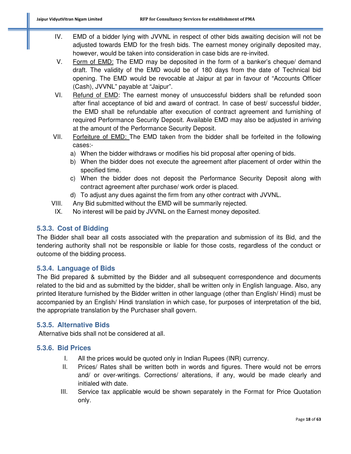- IV. EMD of a bidder lying with JVVNL in respect of other bids awaiting decision will not be adjusted towards EMD for the fresh bids. The earnest money originally deposited may, however, would be taken into consideration in case bids are re-invited.
- V. Form of EMD: The EMD may be deposited in the form of a banker's cheque/ demand draft. The validity of the EMD would be of 180 days from the date of Technical bid opening. The EMD would be revocable at Jaipur at par in favour of "Accounts Officer (Cash), JVVNL" payable at "Jaipur".
- VI. Refund of EMD: The earnest money of unsuccessful bidders shall be refunded soon after final acceptance of bid and award of contract. In case of best/ successful bidder, the EMD shall be refundable after execution of contract agreement and furnishing of required Performance Security Deposit. Available EMD may also be adjusted in arriving at the amount of the Performance Security Deposit.
- VII. Forfeiture of EMD: The EMD taken from the bidder shall be forfeited in the following cases:
	- a) When the bidder withdraws or modifies his bid proposal after opening of bids.
	- b) When the bidder does not execute the agreement after placement of order within the specified time.
	- c) When the bidder does not deposit the Performance Security Deposit along with contract agreement after purchase/ work order is placed.
	- d) To adjust any dues against the firm from any other contract with JVVNL.
- VIII. Any Bid submitted without the EMD will be summarily rejected.
- IX. No interest will be paid by JVVNL on the Earnest money deposited.

# **5.3.3. Cost of Bidding**

The Bidder shall bear all costs associated with the preparation and submission of its Bid, and the tendering authority shall not be responsible or liable for those costs, regardless of the conduct or outcome of the bidding process.

# **5.3.4. Language of Bids**

The Bid prepared & submitted by the Bidder and all subsequent correspondence and documents related to the bid and as submitted by the bidder, shall be written only in English language. Also, any printed literature furnished by the Bidder written in other language (other than English/ Hindi) must be accompanied by an English/ Hindi translation in which case, for purposes of interpretation of the bid, the appropriate translation by the Purchaser shall govern.

# **5.3.5. Alternative Bids**

Alternative bids shall not be considered at all.

#### **5.3.6. Bid Prices**

- I. All the prices would be quoted only in Indian Rupees (INR) currency.
- II. Prices/ Rates shall be written both in words and figures. There would not be errors and/ or over-writings. Corrections/ alterations, if any, would be made clearly and initialed with date.
- III. Service tax applicable would be shown separately in the Format for Price Quotation only.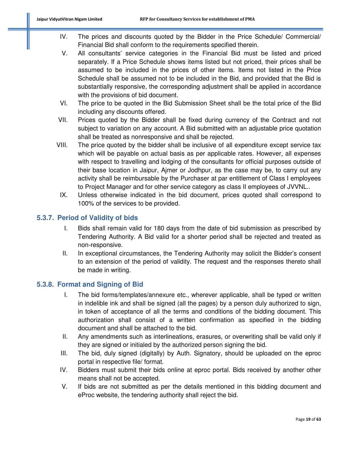- IV. The prices and discounts quoted by the Bidder in the Price Schedule/ Commercial/ Financial Bid shall conform to the requirements specified therein.
- V. All consultants' service categories in the Financial Bid must be listed and priced separately. If a Price Schedule shows items listed but not priced, their prices shall be assumed to be included in the prices of other items. Items not listed in the Price Schedule shall be assumed not to be included in the Bid, and provided that the Bid is substantially responsive, the corresponding adjustment shall be applied in accordance with the provisions of bid document.
- VI. The price to be quoted in the Bid Submission Sheet shall be the total price of the Bid including any discounts offered.
- VII. Prices quoted by the Bidder shall be fixed during currency of the Contract and not subject to variation on any account. A Bid submitted with an adjustable price quotation shall be treated as nonresponsive and shall be rejected.
- VIII. The price quoted by the bidder shall be inclusive of all expenditure except service tax which will be payable on actual basis as per applicable rates. However, all expenses with respect to travelling and lodging of the consultants for official purposes outside of their base location in Jaipur, Ajmer or Jodhpur, as the case may be, to carry out any activity shall be reimbursable by the Purchaser at par entitlement of Class I employees to Project Manager and for other service category as class II employees of JVVNL..
	- IX. Unless otherwise indicated in the bid document, prices quoted shall correspond to 100% of the services to be provided.

# **5.3.7. Period of Validity of bids**

- I. Bids shall remain valid for 180 days from the date of bid submission as prescribed by Tendering Authority. A Bid valid for a shorter period shall be rejected and treated as non-responsive.
- II. In exceptional circumstances, the Tendering Authority may solicit the Bidder's consent to an extension of the period of validity. The request and the responses thereto shall be made in writing.

# **5.3.8. Format and Signing of Bid**

- I. The bid forms/templates/annexure etc., wherever applicable, shall be typed or written in indelible ink and shall be signed (all the pages) by a person duly authorized to sign, in token of acceptance of all the terms and conditions of the bidding document. This authorization shall consist of a written confirmation as specified in the bidding document and shall be attached to the bid.
- II. Any amendments such as interlineations, erasures, or overwriting shall be valid only if they are signed or initialed by the authorized person signing the bid.
- III. The bid, duly signed (digitally) by Auth. Signatory, should be uploaded on the eproc portal in respective file/ format.
- IV. Bidders must submit their bids online at eproc portal. Bids received by another other means shall not be accepted.
- V. If bids are not submitted as per the details mentioned in this bidding document and eProc website, the tendering authority shall reject the bid.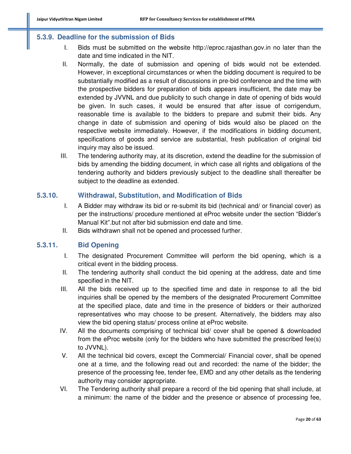#### **5.3.9. Deadline for the submission of Bids**

- I. Bids must be submitted on the website http://eproc.rajasthan.gov.in no later than the date and time indicated in the NIT.
- II. Normally, the date of submission and opening of bids would not be extended. However, in exceptional circumstances or when the bidding document is required to be substantially modified as a result of discussions in pre-bid conference and the time with the prospective bidders for preparation of bids appears insufficient, the date may be extended by JVVNL and due publicity to such change in date of opening of bids would be given. In such cases, it would be ensured that after issue of corrigendum, reasonable time is available to the bidders to prepare and submit their bids. Any change in date of submission and opening of bids would also be placed on the respective website immediately. However, if the modifications in bidding document, specifications of goods and service are substantial, fresh publication of original bid inquiry may also be issued.
- III. The tendering authority may, at its discretion, extend the deadline for the submission of bids by amending the bidding document, in which case all rights and obligations of the tendering authority and bidders previously subject to the deadline shall thereafter be subject to the deadline as extended.

#### **5.3.10. Withdrawal, Substitution, and Modification of Bids**

- I. A Bidder may withdraw its bid or re-submit its bid (technical and/ or financial cover) as per the instructions/ procedure mentioned at eProc website under the section "Bidder's Manual Kit".but not after bid submission end date and time.
- II. Bids withdrawn shall not be opened and processed further.

#### **5.3.11. Bid Opening**

- I. The designated Procurement Committee will perform the bid opening, which is a critical event in the bidding process.
- II. The tendering authority shall conduct the bid opening at the address, date and time specified in the NIT.
- III. All the bids received up to the specified time and date in response to all the bid inquiries shall be opened by the members of the designated Procurement Committee at the specified place, date and time in the presence of bidders or their authorized representatives who may choose to be present. Alternatively, the bidders may also view the bid opening status/ process online at eProc website.
- IV. All the documents comprising of technical bid/ cover shall be opened & downloaded from the eProc website (only for the bidders who have submitted the prescribed fee(s) to JVVNL).
- V. All the technical bid covers, except the Commercial/ Financial cover, shall be opened one at a time, and the following read out and recorded: the name of the bidder; the presence of the processing fee, tender fee, EMD and any other details as the tendering authority may consider appropriate.
- VI. The Tendering authority shall prepare a record of the bid opening that shall include, at a minimum: the name of the bidder and the presence or absence of processing fee,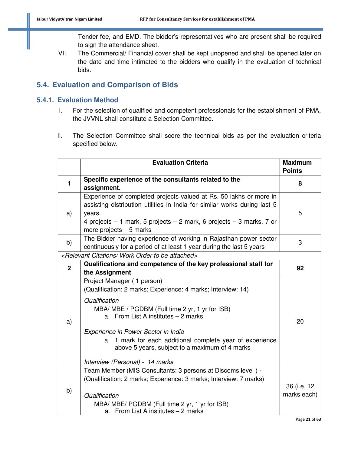Tender fee, and EMD. The bidder's representatives who are present shall be required to sign the attendance sheet.

VII. The Commercial/ Financial cover shall be kept unopened and shall be opened later on the date and time intimated to the bidders who qualify in the evaluation of technical bids.

# **5.4. Evaluation and Comparison of Bids**

# **5.4.1. Evaluation Method**

- I. For the selection of qualified and competent professionals for the establishment of PMA, the JVVNL shall constitute a Selection Committee.
- II. The Selection Committee shall score the technical bids as per the evaluation criteria specified below.

|                | <b>Evaluation Criteria</b>                                                                                                                                                                                                                                                                                                                                                                     | <b>Maximum</b><br><b>Points</b> |
|----------------|------------------------------------------------------------------------------------------------------------------------------------------------------------------------------------------------------------------------------------------------------------------------------------------------------------------------------------------------------------------------------------------------|---------------------------------|
| $\blacksquare$ | Specific experience of the consultants related to the<br>assignment.                                                                                                                                                                                                                                                                                                                           | 8                               |
| a)             | Experience of completed projects valued at Rs. 50 lakhs or more in<br>assisting distribution utilities in India for similar works during last 5<br>years.<br>4 projects $-1$ mark, 5 projects $-2$ mark, 6 projects $-3$ marks, 7 or<br>more projects $-5$ marks                                                                                                                               | 5                               |
| b)             | The Bidder having experience of working in Rajasthan power sector<br>continuously for a period of at least 1 year during the last 5 years                                                                                                                                                                                                                                                      | 3                               |
|                | <relevant attached="" be="" citations="" order="" to="" work=""></relevant>                                                                                                                                                                                                                                                                                                                    |                                 |
| $\mathbf 2$    | Qualifications and competence of the key professional staff for<br>the Assignment                                                                                                                                                                                                                                                                                                              | 92                              |
| a)             | Project Manager (1 person)<br>(Qualification: 2 marks; Experience: 4 marks; Interview: 14)<br>Qualification<br>MBA/ MBE / PGDBM (Full time 2 yr, 1 yr for ISB)<br>a. From List A institutes - 2 marks<br>Experience in Power Sector in India<br>a. 1 mark for each additional complete year of experience<br>above 5 years, subject to a maximum of 4 marks<br>Interview (Personal) - 14 marks | 20                              |
| b)             | Team Member (MIS Consultants: 3 persons at Discoms level) -<br>(Qualification: 2 marks; Experience: 3 marks; Interview: 7 marks)<br>Qualification<br>MBA/ MBE/ PGDBM (Full time 2 yr, 1 yr for ISB)<br>a. From List A institutes $-2$ marks                                                                                                                                                    | 36 (i.e. 12<br>marks each)      |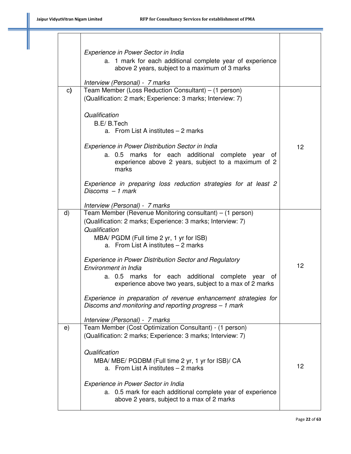|              | Experience in Power Sector in India<br>a. 1 mark for each additional complete year of experience<br>above 2 years, subject to a maximum of 3 marks<br>Interview (Personal) - 7 marks                                         |    |
|--------------|------------------------------------------------------------------------------------------------------------------------------------------------------------------------------------------------------------------------------|----|
| c)           | Team Member (Loss Reduction Consultant) – (1 person)<br>(Qualification: 2 mark; Experience: 3 marks; Interview: 7)<br>Qualification<br>B.E/B.Tech                                                                            |    |
|              | a. From List A institutes - 2 marks<br>Experience in Power Distribution Sector in India<br>a. 0.5 marks for each additional complete<br>year of<br>experience above 2 years, subject to a maximum of 2<br>marks              | 12 |
|              | Experience in preparing loss reduction strategies for at least 2<br>Discoms $-1$ mark<br>Interview (Personal) - 7 marks                                                                                                      |    |
| $\mathsf{d}$ | Team Member (Revenue Monitoring consultant) – (1 person)<br>(Qualification: 2 marks; Experience: 3 marks; Interview: 7)<br>Qualification<br>MBA/ PGDM (Full time 2 yr, 1 yr for ISB)<br>a. From List A institutes $-2$ marks |    |
|              | Experience in Power Distribution Sector and Regulatory<br>Environment in India<br>a. 0.5 marks for each additional complete year<br>of<br>experience above two years, subject to a max of 2 marks                            | 12 |
|              | Experience in preparation of revenue enhancement strategies for<br>Discoms and monitoring and reporting progress - 1 mark<br>Interview (Personal) - 7 marks                                                                  |    |
| e)           | Team Member (Cost Optimization Consultant) - (1 person)<br>(Qualification: 2 marks; Experience: 3 marks; Interview: 7)                                                                                                       |    |
|              | Qualification<br>MBA/ MBE/ PGDBM (Full time 2 yr, 1 yr for ISB)/ CA<br>a. From List A institutes - 2 marks                                                                                                                   | 12 |
|              | Experience in Power Sector in India<br>a. 0.5 mark for each additional complete year of experience<br>above 2 years, subject to a max of 2 marks                                                                             |    |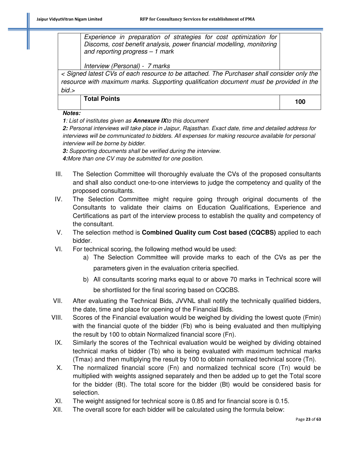*Experience in preparation of strategies for cost optimization for Discoms, cost benefit analysis, power financial modelling, monitoring and reporting progress – 1 mark*

*Interview (Personal) - 7 marks*

*< Signed latest CVs of each resource to be attached. The Purchaser shall consider only the resource with maximum marks. Supporting qualification document must be provided in the bid.>* 

**Total Points <sup>100</sup>**

**Notes:** 

**1***: List of institutes given as* **Annexure IX***to this document* 

**2:** *Personal interviews will take place in Jaipur, Rajasthan. Exact date, time and detailed address for interviews will be communicated to bidders. All expenses for making resource available for personal interview will be borne by bidder.* 

**3:** *Supporting documents shall be verified during the interview.* 

**4:***More than one CV may be submitted for one position.*

- III. The Selection Committee will thoroughly evaluate the CVs of the proposed consultants and shall also conduct one-to-one interviews to judge the competency and quality of the proposed consultants.
- IV. The Selection Committee might require going through original documents of the Consultants to validate their claims on Education Qualifications, Experience and Certifications as part of the interview process to establish the quality and competency of the consultant.
- V. The selection method is **Combined Quality cum Cost based (CQCBS)** applied to each bidder.
- VI. For technical scoring, the following method would be used:
	- a) The Selection Committee will provide marks to each of the CVs as per the parameters given in the evaluation criteria specified.
	- b) All consultants scoring marks equal to or above 70 marks in Technical score will be shortlisted for the final scoring based on CQCBS.
- VII. After evaluating the Technical Bids, JVVNL shall notify the technically qualified bidders, the date, time and place for opening of the Financial Bids.
- VIII. Scores of the Financial evaluation would be weighed by dividing the lowest quote (Fmin) with the financial quote of the bidder (Fb) who is being evaluated and then multiplying the result by 100 to obtain Normalized financial score (Fn).
- IX. Similarly the scores of the Technical evaluation would be weighed by dividing obtained technical marks of bidder (Tb) who is being evaluated with maximum technical marks (Tmax) and then multiplying the result by 100 to obtain normalized technical score (Tn).
- X. The normalized financial score (Fn) and normalized technical score (Tn) would be multiplied with weights assigned separately and then be added up to get the Total score for the bidder (Bt). The total score for the bidder (Bt) would be considered basis for selection.
- XI. The weight assigned for technical score is 0.85 and for financial score is 0.15.
- XII. The overall score for each bidder will be calculated using the formula below: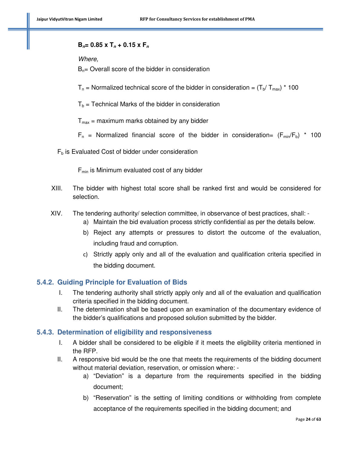#### **B**<sub>n</sub>= 0.85 x T<sub>n</sub> + 0.15 x F<sub>n</sub>

*Where,* 

 $B_{n}=$  Overall score of the bidder in consideration

 $T_n$  = Normalized technical score of the bidder in consideration =  $(T_b/T_{max})$  \* 100

 $T_b$  = Technical Marks of the bidder in consideration

 $T_{max}$  = maximum marks obtained by any bidder

 $F_n$  = Normalized financial score of the bidder in consideration=  $(F_{min}/F_b)$  \* 100

 $F_b$  is Evaluated Cost of bidder under consideration

 $F_{min}$  is Minimum evaluated cost of any bidder

- XIII. The bidder with highest total score shall be ranked first and would be considered for selection.
- XIV. The tendering authority/ selection committee, in observance of best practices, shall:
	- a) Maintain the bid evaluation process strictly confidential as per the details below.
	- b) Reject any attempts or pressures to distort the outcome of the evaluation, including fraud and corruption.
	- c) Strictly apply only and all of the evaluation and qualification criteria specified in the bidding document.

#### **5.4.2. Guiding Principle for Evaluation of Bids**

- I. The tendering authority shall strictly apply only and all of the evaluation and qualification criteria specified in the bidding document.
- II. The determination shall be based upon an examination of the documentary evidence of the bidder's qualifications and proposed solution submitted by the bidder.

#### **5.4.3. Determination of eligibility and responsiveness**

- I. A bidder shall be considered to be eligible if it meets the eligibility criteria mentioned in the RFP.
- II. A responsive bid would be the one that meets the requirements of the bidding document without material deviation, reservation, or omission where:
	- a) "Deviation" is a departure from the requirements specified in the bidding document;
	- b) "Reservation" is the setting of limiting conditions or withholding from complete acceptance of the requirements specified in the bidding document; and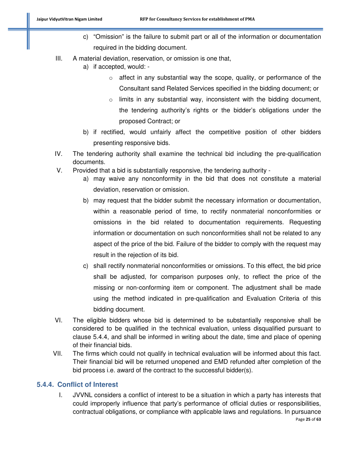- c) "Omission" is the failure to submit part or all of the information or documentation required in the bidding document.
- III. A material deviation, reservation, or omission is one that,
	- a) if accepted, would:
		- o affect in any substantial way the scope, quality, or performance of the Consultant sand Related Services specified in the bidding document; or
		- $\circ$  limits in any substantial way, inconsistent with the bidding document, the tendering authority's rights or the bidder's obligations under the proposed Contract; or
	- b) if rectified, would unfairly affect the competitive position of other bidders presenting responsive bids.
- IV. The tendering authority shall examine the technical bid including the pre-qualification documents.
- V. Provided that a bid is substantially responsive, the tendering authority
	- a) may waive any nonconformity in the bid that does not constitute a material deviation, reservation or omission.
	- b) may request that the bidder submit the necessary information or documentation, within a reasonable period of time, to rectify nonmaterial nonconformities or omissions in the bid related to documentation requirements. Requesting information or documentation on such nonconformities shall not be related to any aspect of the price of the bid. Failure of the bidder to comply with the request may result in the rejection of its bid.
	- c) shall rectify nonmaterial nonconformities or omissions. To this effect, the bid price shall be adjusted, for comparison purposes only, to reflect the price of the missing or non-conforming item or component. The adjustment shall be made using the method indicated in pre-qualification and Evaluation Criteria of this bidding document.
- VI. The eligible bidders whose bid is determined to be substantially responsive shall be considered to be qualified in the technical evaluation, unless disqualified pursuant to clause 5.4.4, and shall be informed in writing about the date, time and place of opening of their financial bids.
- VII. The firms which could not qualify in technical evaluation will be informed about this fact. Their financial bid will be returned unopened and EMD refunded after completion of the bid process i.e. award of the contract to the successful bidder(s).

# **5.4.4. Conflict of Interest**

I. JVVNL considers a conflict of interest to be a situation in which a party has interests that could improperly influence that party's performance of official duties or responsibilities, contractual obligations, or compliance with applicable laws and regulations. In pursuance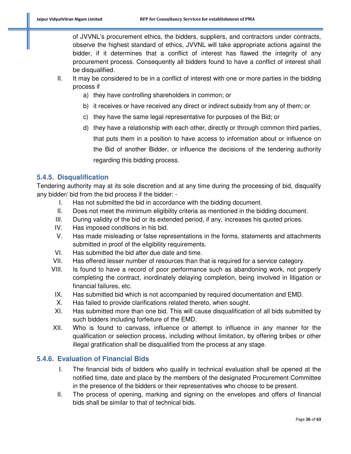of JVVNL's procurement ethics, the bidders, suppliers, and contractors under contracts, observe the highest standard of ethics, JVVNL will take appropriate actions against the bidder, if it determines that a conflict of interest has flawed the integrity of any procurement process. Consequently all bidders found to have a conflict of interest shall be disqualified.

- II. It may be considered to be in a conflict of interest with one or more parties in the bidding process if
	- a) they have controlling shareholders in common; or
	- b) it receives or have received any direct or indirect subsidy from any of them; or
	- c) they have the same legal representative for purposes of the Bid; or
	- d) they have a relationship with each other, directly or through common third parties, that puts them in a position to have access to information about or influence on the Bid of another Bidder, or influence the decisions of the tendering authority regarding this bidding process.

#### **5.4.5. Disqualification**

Tendering authority may at its sole discretion and at any time during the processing of bid, disqualify any bidder/ bid from the bid process if the bidder: -

- I. Has not submitted the bid in accordance with the bidding document.
- II. Does not meet the minimum eligibility criteria as mentioned in the bidding document.
- III. During validity of the bid or its extended period, if any, increases his quoted prices.
- IV. Has imposed conditions in his bid.
- V. Has made misleading or false representations in the forms, statements and attachments submitted in proof of the eligibility requirements.
- VI. Has submitted the bid after due date and time.
- VII. Has offered lesser number of resources than that is required for a service category.
- VIII. Is found to have a record of poor performance such as abandoning work, not properly completing the contract, inordinately delaying completion, being involved in litigation or financial failures, etc.
- IX. Has submitted bid which is not accompanied by required documentation and EMD.
- X. Has failed to provide clarifications related thereto, when sought.
- XI. Has submitted more than one bid. This will cause disqualification of all bids submitted by such bidders including forfeiture of the EMD.
- XII. Who is found to canvass, influence or attempt to influence in any manner for the qualification or selection process, including without limitation, by offering bribes or other illegal gratification shall be disqualified from the process at any stage.

#### **5.4.6. Evaluation of Financial Bids**

- I. The financial bids of bidders who qualify in technical evaluation shall be opened at the notified time, date and place by the members of the designated Procurement Committee in the presence of the bidders or their representatives who choose to be present.
- II. The process of opening, marking and signing on the envelopes and offers of financial bids shall be similar to that of technical bids.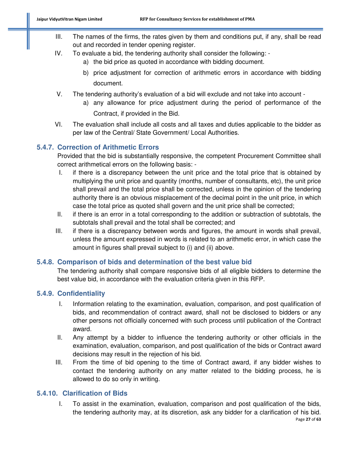- III. The names of the firms, the rates given by them and conditions put, if any, shall be read out and recorded in tender opening register.
- IV. To evaluate a bid, the tendering authority shall consider the following:
	- a) the bid price as quoted in accordance with bidding document.
	- b) price adjustment for correction of arithmetic errors in accordance with bidding document.
- V. The tendering authority's evaluation of a bid will exclude and not take into account
	- a) any allowance for price adjustment during the period of performance of the Contract, if provided in the Bid.
- VI. The evaluation shall include all costs and all taxes and duties applicable to the bidder as per law of the Central/ State Government/ Local Authorities.

# **5.4.7. Correction of Arithmetic Errors**

Provided that the bid is substantially responsive, the competent Procurement Committee shall correct arithmetical errors on the following basis: -

- I. if there is a discrepancy between the unit price and the total price that is obtained by multiplying the unit price and quantity (months, number of consultants, etc), the unit price shall prevail and the total price shall be corrected, unless in the opinion of the tendering authority there is an obvious misplacement of the decimal point in the unit price, in which case the total price as quoted shall govern and the unit price shall be corrected;
- II. if there is an error in a total corresponding to the addition or subtraction of subtotals, the subtotals shall prevail and the total shall be corrected; and
- III. if there is a discrepancy between words and figures, the amount in words shall prevail, unless the amount expressed in words is related to an arithmetic error, in which case the amount in figures shall prevail subject to (i) and (ii) above.

# **5.4.8. Comparison of bids and determination of the best value bid**

The tendering authority shall compare responsive bids of all eligible bidders to determine the best value bid, in accordance with the evaluation criteria given in this RFP.

# **5.4.9. Confidentiality**

- I. Information relating to the examination, evaluation, comparison, and post qualification of bids, and recommendation of contract award, shall not be disclosed to bidders or any other persons not officially concerned with such process until publication of the Contract award.
- II. Any attempt by a bidder to influence the tendering authority or other officials in the examination, evaluation, comparison, and post qualification of the bids or Contract award decisions may result in the rejection of his bid.
- III. From the time of bid opening to the time of Contract award, if any bidder wishes to contact the tendering authority on any matter related to the bidding process, he is allowed to do so only in writing.

# **5.4.10. Clarification of Bids**

I. To assist in the examination, evaluation, comparison and post qualification of the bids, the tendering authority may, at its discretion, ask any bidder for a clarification of his bid.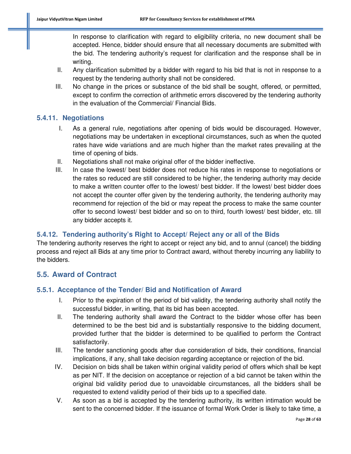In response to clarification with regard to eligibility criteria, no new document shall be accepted. Hence, bidder should ensure that all necessary documents are submitted with the bid. The tendering authority's request for clarification and the response shall be in writing.

- II. Any clarification submitted by a bidder with regard to his bid that is not in response to a request by the tendering authority shall not be considered.
- III. No change in the prices or substance of the bid shall be sought, offered, or permitted, except to confirm the correction of arithmetic errors discovered by the tendering authority in the evaluation of the Commercial/ Financial Bids.

# **5.4.11. Negotiations**

- I. As a general rule, negotiations after opening of bids would be discouraged. However, negotiations may be undertaken in exceptional circumstances, such as when the quoted rates have wide variations and are much higher than the market rates prevailing at the time of opening of bids.
- II. Negotiations shall not make original offer of the bidder ineffective.
- III. In case the lowest/ best bidder does not reduce his rates in response to negotiations or the rates so reduced are still considered to be higher, the tendering authority may decide to make a written counter offer to the lowest/ best bidder. If the lowest/ best bidder does not accept the counter offer given by the tendering authority, the tendering authority may recommend for rejection of the bid or may repeat the process to make the same counter offer to second lowest/ best bidder and so on to third, fourth lowest/ best bidder, etc. till any bidder accepts it.

# **5.4.12. Tendering authority's Right to Accept/ Reject any or all of the Bids**

The tendering authority reserves the right to accept or reject any bid, and to annul (cancel) the bidding process and reject all Bids at any time prior to Contract award, without thereby incurring any liability to the bidders.

# **5.5. Award of Contract**

# **5.5.1. Acceptance of the Tender/ Bid and Notification of Award**

- I. Prior to the expiration of the period of bid validity, the tendering authority shall notify the successful bidder, in writing, that its bid has been accepted.
- II. The tendering authority shall award the Contract to the bidder whose offer has been determined to be the best bid and is substantially responsive to the bidding document, provided further that the bidder is determined to be qualified to perform the Contract satisfactorily.
- III. The tender sanctioning goods after due consideration of bids, their conditions, financial implications, if any, shall take decision regarding acceptance or rejection of the bid.
- IV. Decision on bids shall be taken within original validity period of offers which shall be kept as per NIT. If the decision on acceptance or rejection of a bid cannot be taken within the original bid validity period due to unavoidable circumstances, all the bidders shall be requested to extend validity period of their bids up to a specified date.
- V. As soon as a bid is accepted by the tendering authority, its written intimation would be sent to the concerned bidder. If the issuance of formal Work Order is likely to take time, a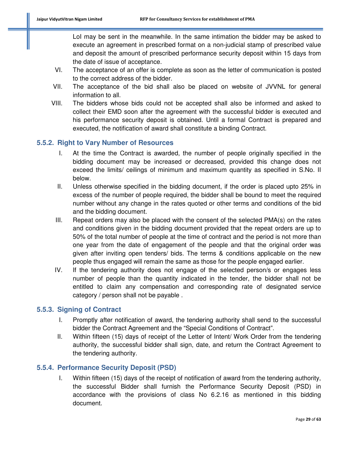LoI may be sent in the meanwhile. In the same intimation the bidder may be asked to execute an agreement in prescribed format on a non-judicial stamp of prescribed value and deposit the amount of prescribed performance security deposit within 15 days from the date of issue of acceptance.

- VI. The acceptance of an offer is complete as soon as the letter of communication is posted to the correct address of the bidder.
- VII. The acceptance of the bid shall also be placed on website of JVVNL for general information to all.
- VIII. The bidders whose bids could not be accepted shall also be informed and asked to collect their EMD soon after the agreement with the successful bidder is executed and his performance security deposit is obtained. Until a formal Contract is prepared and executed, the notification of award shall constitute a binding Contract.

# **5.5.2. Right to Vary Number of Resources**

- I. At the time the Contract is awarded, the number of people originally specified in the bidding document may be increased or decreased, provided this change does not exceed the limits/ ceilings of minimum and maximum quantity as specified in S.No. II below.
- II. Unless otherwise specified in the bidding document, if the order is placed upto 25% in excess of the number of people required, the bidder shall be bound to meet the required number without any change in the rates quoted or other terms and conditions of the bid and the bidding document.
- III. Repeat orders may also be placed with the consent of the selected PMA(s) on the rates and conditions given in the bidding document provided that the repeat orders are up to 50% of the total number of people at the time of contract and the period is not more than one year from the date of engagement of the people and that the original order was given after inviting open tenders/ bids. The terms & conditions applicable on the new people thus engaged will remain the same as those for the people engaged earlier.
- IV. If the tendering authority does not engage of the selected person/s or engages less number of people than the quantity indicated in the tender, the bidder shall not be entitled to claim any compensation and corresponding rate of designated service category / person shall not be payable .

#### **5.5.3. Signing of Contract**

- I. Promptly after notification of award, the tendering authority shall send to the successful bidder the Contract Agreement and the "Special Conditions of Contract".
- II. Within fifteen (15) days of receipt of the Letter of Intent/ Work Order from the tendering authority, the successful bidder shall sign, date, and return the Contract Agreement to the tendering authority.

# **5.5.4. Performance Security Deposit (PSD)**

I. Within fifteen (15) days of the receipt of notification of award from the tendering authority, the successful Bidder shall furnish the Performance Security Deposit (PSD) in accordance with the provisions of class No 6.2.16 as mentioned in this bidding document.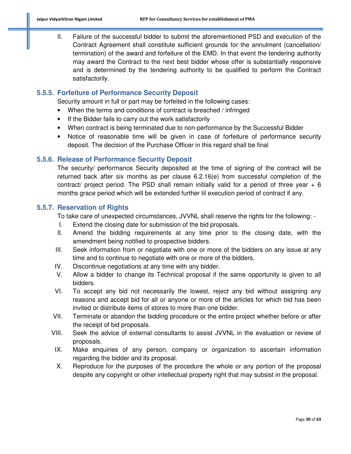II. Failure of the successful bidder to submit the aforementioned PSD and execution of the Contract Agreement shall constitute sufficient grounds for the annulment (cancellation/ termination) of the award and forfeiture of the EMD. In that event the tendering authority may award the Contract to the next best bidder whose offer is substantially responsive and is determined by the tendering authority to be qualified to perform the Contract satisfactorily.

# **5.5.5. Forfeiture of Performance Security Deposit**

Security amount in full or part may be forfeited in the following cases:

- When the terms and conditions of contract is breached / infringed
- If the Bidder fails to carry out the work satisfactorily
- When contract is being terminated due to non-performance by the Successful Bidder
- Notice of reasonable time will be given in case of forfeiture of performance security deposit. The decision of the Purchase Officer in this regard shall be final

# **5.5.6. Release of Performance Security Deposit**

The security/ performance Security deposited at the time of signing of the contract will be returned back after six months as per clause 6.2.16(e) from successful completion of the contract/ project period. The PSD shall remain initially valid for a period of three year  $+ 6$ months grace period which will be extended further til execution period of contract if any.

# **5.5.7. Reservation of Rights**

To take care of unexpected circumstances, JVVNL shall reserve the rights for the following: -

- I. Extend the closing date for submission of the bid proposals.
- II. Amend the bidding requirements at any time prior to the closing date, with the amendment being notified to prospective bidders.
- III. Seek information from or negotiate with one or more of the bidders on any issue at any time and to continue to negotiate with one or more of the bidders.
- IV. Discontinue negotiations at any time with any bidder.
- V. Allow a bidder to change its Technical proposal if the same opportunity is given to all bidders.
- VI. To accept any bid not necessarily the lowest, reject any bid without assigning any reasons and accept bid for all or anyone or more of the articles for which bid has been invited or distribute items of stores to more than one bidder.
- VII. Terminate or abandon the bidding procedure or the entire project whether before or after the receipt of bid proposals.
- VIII. Seek the advice of external consultants to assist JVVNL in the evaluation or review of proposals.
- IX. Make enquiries of any person, company or organization to ascertain information regarding the bidder and its proposal.
- X. Reproduce for the purposes of the procedure the whole or any portion of the proposal despite any copyright or other intellectual property right that may subsist in the proposal.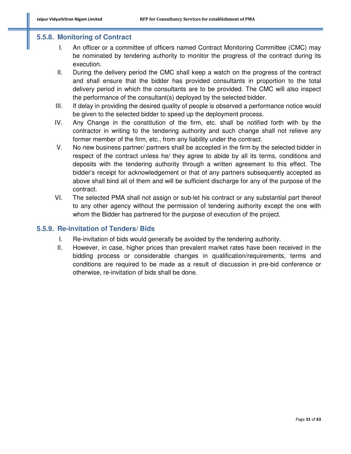#### **5.5.8. Monitoring of Contract**

- I. An officer or a committee of officers named Contract Monitoring Committee (CMC) may be nominated by tendering authority to monitor the progress of the contract during its execution.
- II. During the delivery period the CMC shall keep a watch on the progress of the contract and shall ensure that the bidder has provided consultants in proportion to the total delivery period in which the consultants are to be provided. The CMC will also inspect the performance of the consultant(s) deployed by the selected bidder.
- III. If delay in providing the desired quality of people is observed a performance notice would be given to the selected bidder to speed up the deployment process.
- IV. Any Change in the constitution of the firm, etc. shall be notified forth with by the contractor in writing to the tendering authority and such change shall not relieve any former member of the firm, etc., from any liability under the contract.
- V. No new business partner/ partners shall be accepted in the firm by the selected bidder in respect of the contract unless he/ they agree to abide by all its terms, conditions and deposits with the tendering authority through a written agreement to this effect. The bidder's receipt for acknowledgement or that of any partners subsequently accepted as above shall bind all of them and will be sufficient discharge for any of the purpose of the contract.
- VI. The selected PMA shall not assign or sub-let his contract or any substantial part thereof to any other agency without the permission of tendering authority except the one with whom the Bidder has partnered for the purpose of execution of the project.

#### **5.5.9. Re-invitation of Tenders/ Bids**

- I. Re-invitation of bids would generally be avoided by the tendering authority.
- II. However, in case, higher prices than prevalent market rates have been received in the bidding process or considerable changes in qualification/requirements, terms and conditions are required to be made as a result of discussion in pre-bid conference or otherwise, re-invitation of bids shall be done.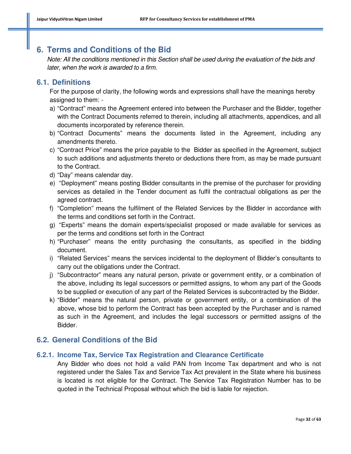# **6. Terms and Conditions of the Bid**

*Note: All the conditions mentioned in this Section shall be used during the evaluation of the bids and later, when the work is awarded to a firm.* 

# **6.1. Definitions**

For the purpose of clarity, the following words and expressions shall have the meanings hereby assigned to them: -

- a) "Contract" means the Agreement entered into between the Purchaser and the Bidder, together with the Contract Documents referred to therein, including all attachments, appendices, and all documents incorporated by reference therein.
- b) "Contract Documents" means the documents listed in the Agreement, including any amendments thereto.
- c) "Contract Price" means the price payable to the Bidder as specified in the Agreement, subject to such additions and adjustments thereto or deductions there from, as may be made pursuant to the Contract.
- d) "Day" means calendar day.
- e) "Deployment" means posting Bidder consultants in the premise of the purchaser for providing services as detailed in the Tender document as fulfil the contractual obligations as per the agreed contract.
- f) "Completion" means the fulfilment of the Related Services by the Bidder in accordance with the terms and conditions set forth in the Contract.
- g) "Experts" means the domain experts/specialist proposed or made available for services as per the terms and conditions set forth in the Contract
- h) "Purchaser" means the entity purchasing the consultants, as specified in the bidding document.
- i) "Related Services" means the services incidental to the deployment of Bidder's consultants to carry out the obligations under the Contract.
- j) "Subcontractor" means any natural person, private or government entity, or a combination of the above, including its legal successors or permitted assigns, to whom any part of the Goods to be supplied or execution of any part of the Related Services is subcontracted by the Bidder.
- k) "Bidder" means the natural person, private or government entity, or a combination of the above, whose bid to perform the Contract has been accepted by the Purchaser and is named as such in the Agreement, and includes the legal successors or permitted assigns of the Bidder.

# **6.2. General Conditions of the Bid**

#### **6.2.1. Income Tax, Service Tax Registration and Clearance Certificate**

Any Bidder who does not hold a valid PAN from Income Tax department and who is not registered under the Sales Tax and Service Tax Act prevalent in the State where his business is located is not eligible for the Contract. The Service Tax Registration Number has to be quoted in the Technical Proposal without which the bid is liable for rejection.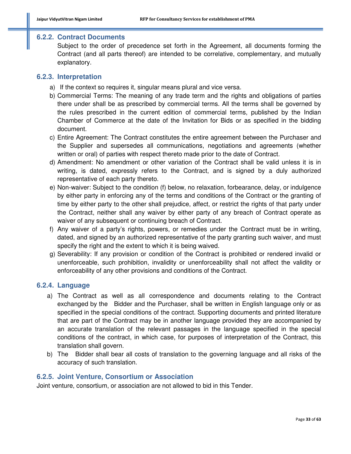#### **6.2.2. Contract Documents**

Subject to the order of precedence set forth in the Agreement, all documents forming the Contract (and all parts thereof) are intended to be correlative, complementary, and mutually explanatory.

#### **6.2.3. Interpretation**

- a) If the context so requires it, singular means plural and vice versa.
- b) Commercial Terms: The meaning of any trade term and the rights and obligations of parties there under shall be as prescribed by commercial terms. All the terms shall be governed by the rules prescribed in the current edition of commercial terms, published by the Indian Chamber of Commerce at the date of the Invitation for Bids or as specified in the bidding document.
- c) Entire Agreement: The Contract constitutes the entire agreement between the Purchaser and the Supplier and supersedes all communications, negotiations and agreements (whether written or oral) of parties with respect thereto made prior to the date of Contract.
- d) Amendment: No amendment or other variation of the Contract shall be valid unless it is in writing, is dated, expressly refers to the Contract, and is signed by a duly authorized representative of each party thereto.
- e) Non-waiver: Subject to the condition (f) below, no relaxation, forbearance, delay, or indulgence by either party in enforcing any of the terms and conditions of the Contract or the granting of time by either party to the other shall prejudice, affect, or restrict the rights of that party under the Contract, neither shall any waiver by either party of any breach of Contract operate as waiver of any subsequent or continuing breach of Contract.
- f) Any waiver of a party's rights, powers, or remedies under the Contract must be in writing, dated, and signed by an authorized representative of the party granting such waiver, and must specify the right and the extent to which it is being waived.
- g) Severability: If any provision or condition of the Contract is prohibited or rendered invalid or unenforceable, such prohibition, invalidity or unenforceability shall not affect the validity or enforceability of any other provisions and conditions of the Contract.

#### **6.2.4. Language**

- a) The Contract as well as all correspondence and documents relating to the Contract exchanged by the Bidder and the Purchaser, shall be written in English language only or as specified in the special conditions of the contract. Supporting documents and printed literature that are part of the Contract may be in another language provided they are accompanied by an accurate translation of the relevant passages in the language specified in the special conditions of the contract, in which case, for purposes of interpretation of the Contract, this translation shall govern.
- b) The Bidder shall bear all costs of translation to the governing language and all risks of the accuracy of such translation.

#### **6.2.5. Joint Venture, Consortium or Association**

Joint venture, consortium, or association are not allowed to bid in this Tender.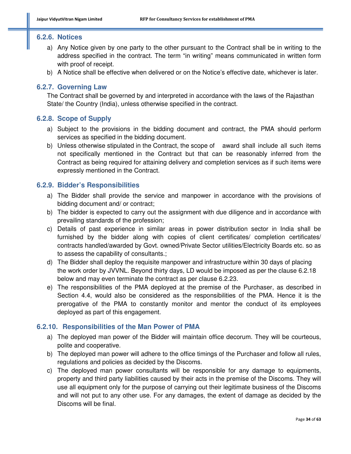#### **6.2.6. Notices**

- a) Any Notice given by one party to the other pursuant to the Contract shall be in writing to the address specified in the contract. The term "in writing" means communicated in written form with proof of receipt.
- b) A Notice shall be effective when delivered or on the Notice's effective date, whichever is later.

#### **6.2.7. Governing Law**

The Contract shall be governed by and interpreted in accordance with the laws of the Rajasthan State/ the Country (India), unless otherwise specified in the contract.

#### **6.2.8. Scope of Supply**

- a) Subject to the provisions in the bidding document and contract, the PMA should perform services as specified in the bidding document.
- b) Unless otherwise stipulated in the Contract, the scope of award shall include all such items not specifically mentioned in the Contract but that can be reasonably inferred from the Contract as being required for attaining delivery and completion services as if such items were expressly mentioned in the Contract.

#### **6.2.9. Bidder's Responsibilities**

- a) The Bidder shall provide the service and manpower in accordance with the provisions of bidding document and/ or contract;
- b) The bidder is expected to carry out the assignment with due diligence and in accordance with prevailing standards of the profession;
- c) Details of past experience in similar areas in power distribution sector in India shall be furnished by the bidder along with copies of client certificates/ completion certificates/ contracts handled/awarded by Govt. owned/Private Sector utilities/Electricity Boards etc. so as to assess the capability of consultants.;
- d) The Bidder shall deploy the requisite manpower and infrastructure within 30 days of placing the work order by JVVNL. Beyond thirty days, LD would be imposed as per the clause 6.2.18 below and may even terminate the contract as per clause 6.2.23.
- e) The responsibilities of the PMA deployed at the premise of the Purchaser, as described in Section 4.4, would also be considered as the responsibilities of the PMA. Hence it is the prerogative of the PMA to constantly monitor and mentor the conduct of its employees deployed as part of this engagement.

#### **6.2.10. Responsibilities of the Man Power of PMA**

- a) The deployed man power of the Bidder will maintain office decorum. They will be courteous, polite and cooperative.
- b) The deployed man power will adhere to the office timings of the Purchaser and follow all rules, regulations and policies as decided by the Discoms.
- c) The deployed man power consultants will be responsible for any damage to equipments, property and third party liabilities caused by their acts in the premise of the Discoms. They will use all equipment only for the purpose of carrying out their legitimate business of the Discoms and will not put to any other use. For any damages, the extent of damage as decided by the Discoms will be final.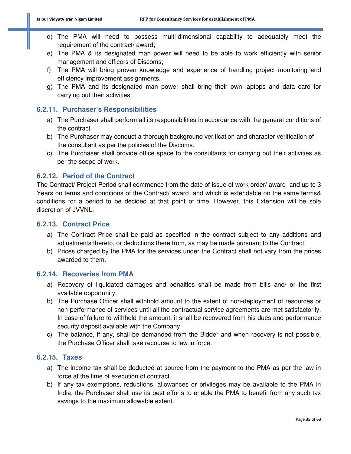- d) The PMA will need to possess multi-dimensional capability to adequately meet the requirement of the contract/ award;
- e) The PMA & its designated man power will need to be able to work efficiently with senior management and officers of Discoms;
- f) The PMA will bring proven knowledge and experience of handling project monitoring and efficiency improvement assignments.
- g) The PMA and its designated man power shall bring their own laptops and data card for carrying out their activities.

# **6.2.11. Purchaser's Responsibilities**

- a) The Purchaser shall perform all its responsibilities in accordance with the general conditions of the contract.
- b) The Purchaser may conduct a thorough background verification and character verification of the consultant as per the policies of the Discoms.
- c) The Purchaser shall provide office space to the consultants for carrying out their activities as per the scope of work.

# **6.2.12. Period of the Contract**

The Contract/ Project Period shall commence from the date of issue of work order/ award and up to 3 Years on terms and conditions of the Contract/ award, and which is extendable on the same terms& conditions for a period to be decided at that point of time. However, this Extension will be sole discretion of JVVNL.

#### **6.2.13. Contract Price**

- a) The Contract Price shall be paid as specified in the contract subject to any additions and adjustments thereto, or deductions there from, as may be made pursuant to the Contract.
- b) Prices charged by the PMA for the services under the Contract shall not vary from the prices awarded to them.

#### **6.2.14. Recoveries from PMA**

- a) Recovery of liquidated damages and penalties shall be made from bills and/ or the first available opportunity.
- b) The Purchase Officer shall withhold amount to the extent of non-deployment of resources or non-performance of services until all the contractual service agreements are met satisfactorily. In case of failure to withhold the amount, it shall be recovered from his dues and performance security deposit available with the Company.
- c) The balance, if any, shall be demanded from the Bidder and when recovery is not possible, the Purchase Officer shall take recourse to law in force.

# **6.2.15. Taxes**

- a) The income tax shall be deducted at source from the payment to the PMA as per the law in force at the time of execution of contract.
- b) If any tax exemptions, reductions, allowances or privileges may be available to the PMA in India, the Purchaser shall use its best efforts to enable the PMA to benefit from any such tax savings to the maximum allowable extent.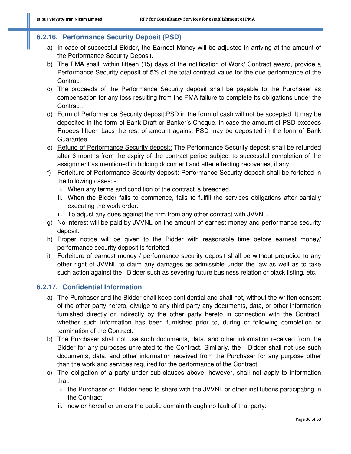# **6.2.16. Performance Security Deposit (PSD)**

- a) In case of successful Bidder, the Earnest Money will be adjusted in arriving at the amount of the Performance Security Deposit.
- b) The PMA shall, within fifteen (15) days of the notification of Work/ Contract award, provide a Performance Security deposit of 5% of the total contract value for the due performance of the **Contract**
- c) The proceeds of the Performance Security deposit shall be payable to the Purchaser as compensation for any loss resulting from the PMA failure to complete its obligations under the Contract.
- d) Form of Performance Security deposit:PSD in the form of cash will not be accepted. It may be deposited in the form of Bank Draft or Banker's Cheque. in case the amount of PSD exceeds Rupees fifteen Lacs the rest of amount against PSD may be deposited in the form of Bank Guarantee.
- e) Refund of Performance Security deposit: The Performance Security deposit shall be refunded after 6 months from the expiry of the contract period subject to successful completion of the assignment as mentioned in bidding document and after effecting recoveries, if any.
- f) Forfeiture of Performance Security deposit: Performance Security deposit shall be forfeited in the following cases:
	- i. When any terms and condition of the contract is breached.
	- ii. When the Bidder fails to commence, fails to fulfill the services obligations after partially executing the work order.
	- iii. To adjust any dues against the firm from any other contract with JVVNL.
- g) No interest will be paid by JVVNL on the amount of earnest money and performance security deposit.
- h) Proper notice will be given to the Bidder with reasonable time before earnest money/ performance security deposit is forfeited.
- i) Forfeiture of earnest money / performance security deposit shall be without prejudice to any other right of JVVNL to claim any damages as admissible under the law as well as to take such action against the Bidder such as severing future business relation or black listing, etc.

# **6.2.17. Confidential Information**

- a) The Purchaser and the Bidder shall keep confidential and shall not, without the written consent of the other party hereto, divulge to any third party any documents, data, or other information furnished directly or indirectly by the other party hereto in connection with the Contract, whether such information has been furnished prior to, during or following completion or termination of the Contract.
- b) The Purchaser shall not use such documents, data, and other information received from the Bidder for any purposes unrelated to the Contract. Similarly, the Bidder shall not use such documents, data, and other information received from the Purchaser for any purpose other than the work and services required for the performance of the Contract.
- c) The obligation of a party under sub-clauses above, however, shall not apply to information that:
	- i. the Purchaser or Bidder need to share with the JVVNL or other institutions participating in the Contract;
	- ii. now or hereafter enters the public domain through no fault of that party;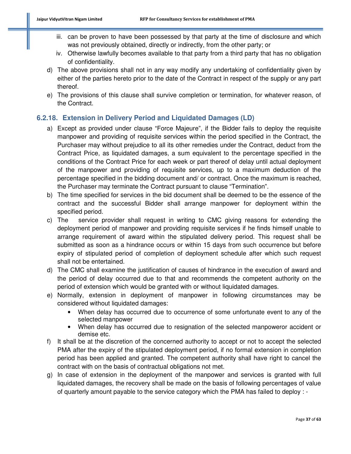- iii. can be proven to have been possessed by that party at the time of disclosure and which was not previously obtained, directly or indirectly, from the other party; or
- iv. Otherwise lawfully becomes available to that party from a third party that has no obligation of confidentiality.
- d) The above provisions shall not in any way modify any undertaking of confidentiality given by either of the parties hereto prior to the date of the Contract in respect of the supply or any part thereof.
- e) The provisions of this clause shall survive completion or termination, for whatever reason, of the Contract.

# **6.2.18. Extension in Delivery Period and Liquidated Damages (LD)**

- a) Except as provided under clause "Force Majeure", if the Bidder fails to deploy the requisite manpower and providing of requisite services within the period specified in the Contract, the Purchaser may without prejudice to all its other remedies under the Contract, deduct from the Contract Price, as liquidated damages, a sum equivalent to the percentage specified in the conditions of the Contract Price for each week or part thereof of delay until actual deployment of the manpower and providing of requisite services, up to a maximum deduction of the percentage specified in the bidding document and/ or contract. Once the maximum is reached, the Purchaser may terminate the Contract pursuant to clause "Termination".
- b) The time specified for services in the bid document shall be deemed to be the essence of the contract and the successful Bidder shall arrange manpower for deployment within the specified period.
- c) The service provider shall request in writing to CMC giving reasons for extending the deployment period of manpower and providing requisite services if he finds himself unable to arrange requirement of award within the stipulated delivery period. This request shall be submitted as soon as a hindrance occurs or within 15 days from such occurrence but before expiry of stipulated period of completion of deployment schedule after which such request shall not be entertained.
- d) The CMC shall examine the justification of causes of hindrance in the execution of award and the period of delay occurred due to that and recommends the competent authority on the period of extension which would be granted with or without liquidated damages.
- e) Normally, extension in deployment of manpower in following circumstances may be considered without liquidated damages:
	- When delay has occurred due to occurrence of some unfortunate event to any of the selected manpower
	- When delay has occurred due to resignation of the selected manpoweror accident or demise etc.
- f) It shall be at the discretion of the concerned authority to accept or not to accept the selected PMA after the expiry of the stipulated deployment period, if no formal extension in completion period has been applied and granted. The competent authority shall have right to cancel the contract with on the basis of contractual obligations not met.
- g) In case of extension in the deployment of the manpower and services is granted with full liquidated damages, the recovery shall be made on the basis of following percentages of value of quarterly amount payable to the service category which the PMA has failed to deploy : -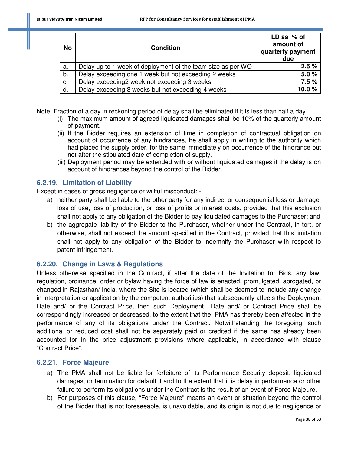| <b>No</b> | <b>Condition</b>                                            | $LD$ as % of<br>amount of<br>quarterly payment<br>due |
|-----------|-------------------------------------------------------------|-------------------------------------------------------|
| a.        | Delay up to 1 week of deployment of the team size as per WO | 2.5%                                                  |
| b.        | Delay exceeding one 1 week but not exceeding 2 weeks        | 5.0%                                                  |
| c.        | Delay exceeding2 week not exceeding 3 weeks                 | 7.5%                                                  |
| d.        | Delay exceeding 3 weeks but not exceeding 4 weeks           | 10.0%                                                 |

Note: Fraction of a day in reckoning period of delay shall be eliminated if it is less than half a day.

- (i) The maximum amount of agreed liquidated damages shall be 10% of the quarterly amount of payment.
- (ii) If the Bidder requires an extension of time in completion of contractual obligation on account of occurrence of any hindrances, he shall apply in writing to the authority which had placed the supply order, for the same immediately on occurrence of the hindrance but not after the stipulated date of completion of supply.
- (iii) Deployment period may be extended with or without liquidated damages if the delay is on account of hindrances beyond the control of the Bidder.

# **6.2.19. Limitation of Liability**

Except in cases of gross negligence or willful misconduct: -

- a) neither party shall be liable to the other party for any indirect or consequential loss or damage, loss of use, loss of production, or loss of profits or interest costs, provided that this exclusion shall not apply to any obligation of the Bidder to pay liquidated damages to the Purchaser; and
- b) the aggregate liability of the Bidder to the Purchaser, whether under the Contract, in tort, or otherwise, shall not exceed the amount specified in the Contract, provided that this limitation shall not apply to any obligation of the Bidder to indemnify the Purchaser with respect to patent infringement.

# **6.2.20. Change in Laws & Regulations**

Unless otherwise specified in the Contract, if after the date of the Invitation for Bids, any law, regulation, ordinance, order or bylaw having the force of law is enacted, promulgated, abrogated, or changed in Rajasthan/ India, where the Site is located (which shall be deemed to include any change in interpretation or application by the competent authorities) that subsequently affects the Deployment Date and/ or the Contract Price, then such Deployment Date and/ or Contract Price shall be correspondingly increased or decreased, to the extent that the PMA has thereby been affected in the performance of any of its obligations under the Contract. Notwithstanding the foregoing, such additional or reduced cost shall not be separately paid or credited if the same has already been accounted for in the price adjustment provisions where applicable, in accordance with clause "Contract Price".

# **6.2.21. Force Majeure**

- a) The PMA shall not be liable for forfeiture of its Performance Security deposit, liquidated damages, or termination for default if and to the extent that it is delay in performance or other failure to perform its obligations under the Contract is the result of an event of Force Majeure.
- b) For purposes of this clause, "Force Majeure" means an event or situation beyond the control of the Bidder that is not foreseeable, is unavoidable, and its origin is not due to negligence or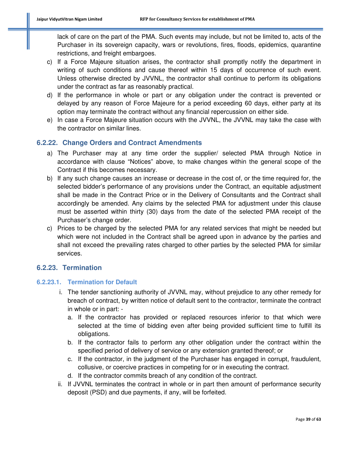lack of care on the part of the PMA. Such events may include, but not be limited to, acts of the Purchaser in its sovereign capacity, wars or revolutions, fires, floods, epidemics, quarantine restrictions, and freight embargoes.

- c) If a Force Majeure situation arises, the contractor shall promptly notify the department in writing of such conditions and cause thereof within 15 days of occurrence of such event. Unless otherwise directed by JVVNL, the contractor shall continue to perform its obligations under the contract as far as reasonably practical.
- d) If the performance in whole or part or any obligation under the contract is prevented or delayed by any reason of Force Majeure for a period exceeding 60 days, either party at its option may terminate the contract without any financial repercussion on either side.
- e) In case a Force Majeure situation occurs with the JVVNL, the JVVNL may take the case with the contractor on similar lines.

# **6.2.22. Change Orders and Contract Amendments**

- a) The Purchaser may at any time order the supplier/ selected PMA through Notice in accordance with clause "Notices" above, to make changes within the general scope of the Contract if this becomes necessary.
- b) If any such change causes an increase or decrease in the cost of, or the time required for, the selected bidder's performance of any provisions under the Contract, an equitable adjustment shall be made in the Contract Price or in the Delivery of Consultants and the Contract shall accordingly be amended. Any claims by the selected PMA for adjustment under this clause must be asserted within thirty (30) days from the date of the selected PMA receipt of the Purchaser's change order.
- c) Prices to be charged by the selected PMA for any related services that might be needed but which were not included in the Contract shall be agreed upon in advance by the parties and shall not exceed the prevailing rates charged to other parties by the selected PMA for similar services.

#### **6.2.23. Termination**

#### **6.2.23.1. Termination for Default**

- i. The tender sanctioning authority of JVVNL may, without prejudice to any other remedy for breach of contract, by written notice of default sent to the contractor, terminate the contract in whole or in part:
	- a. If the contractor has provided or replaced resources inferior to that which were selected at the time of bidding even after being provided sufficient time to fulfill its obligations.
	- b. If the contractor fails to perform any other obligation under the contract within the specified period of delivery of service or any extension granted thereof; or
	- c. If the contractor, in the judgment of the Purchaser has engaged in corrupt, fraudulent, collusive, or coercive practices in competing for or in executing the contract.
	- d. If the contractor commits breach of any condition of the contract.
- ii. If JVVNL terminates the contract in whole or in part then amount of performance security deposit (PSD) and due payments, if any, will be forfeited.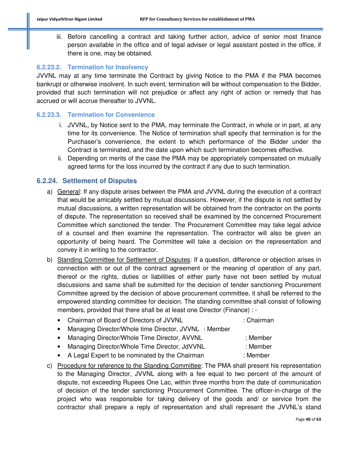iii. Before cancelling a contract and taking further action, advice of senior most finance person available in the office and of legal adviser or legal assistant posted in the office, if there is one, may be obtained.

#### **6.2.23.2. Termination for Insolvency**

JVVNL may at any time terminate the Contract by giving Notice to the PMA if the PMA becomes bankrupt or otherwise insolvent. In such event, termination will be without compensation to the Bidder, provided that such termination will not prejudice or affect any right of action or remedy that has accrued or will accrue thereafter to JVVNL.

#### **6.2.23.3. Termination for Convenience**

- i. JVVNL, by Notice sent to the PMA, may terminate the Contract, in whole or in part, at any time for its convenience. The Notice of termination shall specify that termination is for the Purchaser's convenience, the extent to which performance of the Bidder under the Contract is terminated, and the date upon which such termination becomes effective.
- ii. Depending on merits of the case the PMA may be appropriately compensated on mutually agreed terms for the loss incurred by the contract if any due to such termination.

#### **6.2.24. Settlement of Disputes**

- a) General: If any dispute arises between the PMA and JVVNL during the execution of a contract that would be amicably settled by mutual discussions. However, if the dispute is not settled by mutual discussions, a written representation will be obtained from the contractor on the points of dispute. The representation so received shall be examined by the concerned Procurement Committee which sanctioned the tender. The Procurement Committee may take legal advice of a counsel and then examine the representation. The contractor will also be given an opportunity of being heard. The Committee will take a decision on the representation and convey it in writing to the contractor.
- b) Standing Committee for Settlement of Disputes: If a question, difference or objection arises in connection with or out of the contract agreement or the meaning of operation of any part, thereof or the rights, duties or liabilities of either party have not been settled by mutual discussions and same shall be submitted for the decision of tender sanctioning Procurement Committee agreed by the decision of above procurement committee, it shall be referred to the empowered standing committee for decision. The standing committee shall consist of following members, provided that there shall be at least one Director (Finance) : -
	- Chairman of Board of Directors of JVVNL : Chairman • Managing Director/Whole time Director, JVVNL : Member
	- Managing Director/Whole Time Director, AVVNL : Member
	- Managing Director/Whole Time Director, JdVVNL : Member
	- A Legal Expert to be nominated by the Chairman : Member
- c) Procedure for reference to the Standing Committee: The PMA shall present his representation to the Managing Director, JVVNL along with a fee equal to two percent of the amount of dispute, not exceeding Rupees One Lac, within three months from the date of communication of decision of the tender sanctioning Procurement Committee. The officer-in-charge of the project who was responsible for taking delivery of the goods and/ or service from the contractor shall prepare a reply of representation and shall represent the JVVNL's stand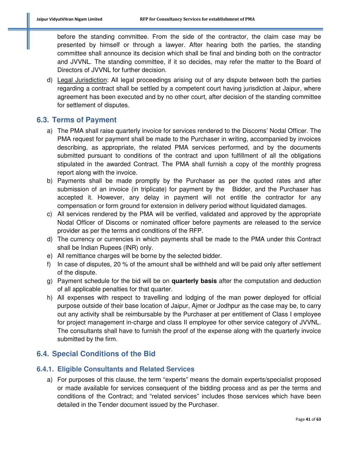before the standing committee. From the side of the contractor, the claim case may be presented by himself or through a lawyer. After hearing both the parties, the standing committee shall announce its decision which shall be final and binding both on the contractor and JVVNL. The standing committee, if it so decides, may refer the matter to the Board of Directors of JVVNL for further decision.

d) Legal Jurisdiction: All legal proceedings arising out of any dispute between both the parties regarding a contract shall be settled by a competent court having jurisdiction at Jaipur, where agreement has been executed and by no other court, after decision of the standing committee for settlement of disputes.

#### **6.3. Terms of Payment**

- a) The PMA shall raise quarterly invoice for services rendered to the Discoms' Nodal Officer. The PMA request for payment shall be made to the Purchaser in writing, accompanied by invoices describing, as appropriate, the related PMA services performed, and by the documents submitted pursuant to conditions of the contract and upon fulfillment of all the obligations stipulated in the awarded Contract. The PMA shall furnish a copy of the monthly progress report along with the invoice.
- b) Payments shall be made promptly by the Purchaser as per the quoted rates and after submission of an invoice (in triplicate) for payment by the Bidder, and the Purchaser has accepted it. However, any delay in payment will not entitle the contractor for any compensation or form ground for extension in delivery period without liquidated damages.
- c) All services rendered by the PMA will be verified, validated and approved by the appropriate Nodal Officer of Discoms or nominated officer before payments are released to the service provider as per the terms and conditions of the RFP.
- d) The currency or currencies in which payments shall be made to the PMA under this Contract shall be Indian Rupees (INR) only.
- e) All remittance charges will be borne by the selected bidder.
- f) In case of disputes, 20 % of the amount shall be withheld and will be paid only after settlement of the dispute.
- g) Payment schedule for the bid will be on **quarterly basis** after the computation and deduction of all applicable penalties for that quarter.
- h) All expenses with respect to travelling and lodging of the man power deployed for official purpose outside of their base location of Jaipur, Ajmer or Jodhpur as the case may be, to carry out any activity shall be reimbursable by the Purchaser at per entitlement of Class I employee for project management in-charge and class II employee for other service category of JVVNL. The consultants shall have to furnish the proof of the expense along with the quarterly invoice submitted by the firm.

# **6.4. Special Conditions of the Bid**

#### **6.4.1. Eligible Consultants and Related Services**

a) For purposes of this clause, the term "experts" means the domain experts/specialist proposed or made available for services consequent of the bidding process and as per the terms and conditions of the Contract; and "related services" includes those services which have been detailed in the Tender document issued by the Purchaser.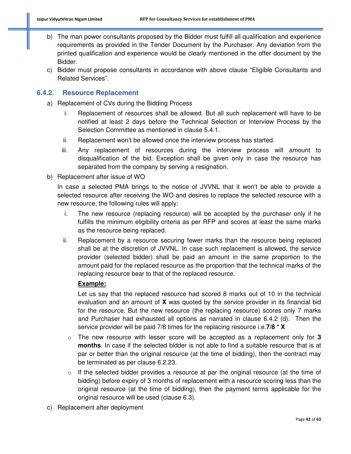- b) The man power consultants proposed by the Bidder must fulfill all qualification and experience requirements as provided in the Tender Document by the Purchaser. Any deviation from the printed qualification and experience would be clearly mentioned in the offer document by the Bidder.
- c) Bidder must propose consultants in accordance with above clause "Eligible Consultants and Related Services".

#### **6.4.2. Resource Replacement**

- a) Replacement of CVs during the Bidding Process
	- i. Replacement of resources shall be allowed. But all such replacement will have to be notified at least 2 days before the Technical Selection or Interview Process by the Selection Committee as mentioned in clause 5.4.1.
	- ii. Replacement won't be allowed once the interview process has started.
	- iii. Any replacement of resources during the interview process will amount to disqualification of the bid. Exception shall be given only in case the resource has separated from the company by serving a resignation.
- b) Replacement after issue of WO

In case a selected PMA brings to the notice of JVVNL that it won't be able to provide a selected resource after receiving the WO and desires to replace the selected resource with a new resource, the following rules will apply:

- i. The new resource (replacing resource) will be accepted by the purchaser only if he fulfills the minimum eligibility criteria as per RFP and scores at least the same marks as the resource being replaced.
- ii. Replacement by a resource securing fewer marks than the resource being replaced shall be at the discretion of JVVNL. In case such replacement is allowed, the service provider (selected bidder) shall be paid an amount in the same proportion to the amount paid for the replaced resource as the proportion that the technical marks of the replacing resource bear to that of the replaced resource.

#### **Example:**

Let us say that the replaced resource had scored 8 marks out of 10 in the technical evaluation and an amount of **X** was quoted by the service provider in its financial bid for the resource. But the new resource (the replacing resource) scores only 7 marks and Purchaser had exhausted all options as narrated in clause 6.4.2 (d). Then the service provider will be paid 7/8 times for the replacing resource i.e.**7/8 \* X**

- o The new resource with lesser score will be accepted as a replacement only for **3 months**. In case if the selected bidder is not able to find a suitable resource that is at par or better than the original resource (at the time of bidding), then the contract may be terminated as per clause 6.2.23.
- $\circ$  If the selected bidder provides a resource at par the original resource (at the time of bidding) before expiry of 3 months of replacement with a resource scoring less than the original resource (at the time of bidding), then the payment terms applicable for the original resource will be used (clause 6.3).
- c) Replacement after deployment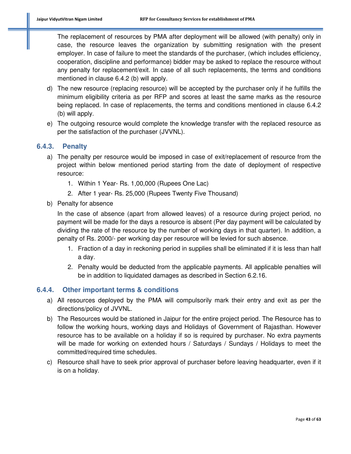The replacement of resources by PMA after deployment will be allowed (with penalty) only in case, the resource leaves the organization by submitting resignation with the present employer. In case of failure to meet the standards of the purchaser, (which includes efficiency, cooperation, discipline and performance) bidder may be asked to replace the resource without any penalty for replacement/exit. In case of all such replacements, the terms and conditions mentioned in clause 6.4.2 (b) will apply.

- d) The new resource (replacing resource) will be accepted by the purchaser only if he fulfills the minimum eligibility criteria as per RFP and scores at least the same marks as the resource being replaced. In case of replacements, the terms and conditions mentioned in clause 6.4.2 (b) will apply.
- e) The outgoing resource would complete the knowledge transfer with the replaced resource as per the satisfaction of the purchaser (JVVNL).

#### **6.4.3. Penalty**

- a) The penalty per resource would be imposed in case of exit/replacement of resource from the project within below mentioned period starting from the date of deployment of respective resource:
	- 1. Within 1 Year- Rs. 1,00,000 (Rupees One Lac)
	- 2. After 1 year- Rs. 25,000 (Rupees Twenty Five Thousand)
- b) Penalty for absence

In the case of absence (apart from allowed leaves) of a resource during project period, no payment will be made for the days a resource is absent (Per day payment will be calculated by dividing the rate of the resource by the number of working days in that quarter). In addition, a penalty of Rs. 2000/- per working day per resource will be levied for such absence.

- 1. Fraction of a day in reckoning period in supplies shall be eliminated if it is less than half a day.
- 2. Penalty would be deducted from the applicable payments. All applicable penalties will be in addition to liquidated damages as described in Section 6.2.16.

#### **6.4.4. Other important terms & conditions**

- a) All resources deployed by the PMA will compulsorily mark their entry and exit as per the directions/policy of JVVNL.
- b) The Resources would be stationed in Jaipur for the entire project period. The Resource has to follow the working hours, working days and Holidays of Government of Rajasthan. However resource has to be available on a holiday if so is required by purchaser. No extra payments will be made for working on extended hours / Saturdays / Sundays / Holidays to meet the committed/required time schedules.
- c) Resource shall have to seek prior approval of purchaser before leaving headquarter, even if it is on a holiday.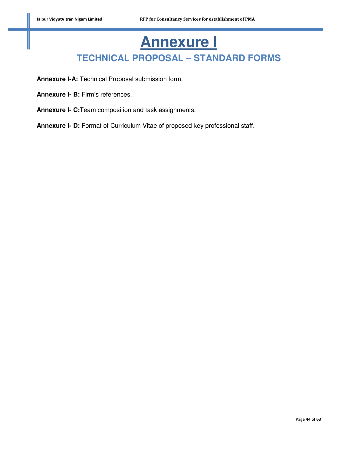# **Annexure I TECHNICAL PROPOSAL – STANDARD FORMS**

**Annexure I-A:** Technical Proposal submission form.

**Annexure I- B:** Firm's references.

**Annexure I- C:**Team composition and task assignments.

**Annexure I- D:** Format of Curriculum Vitae of proposed key professional staff.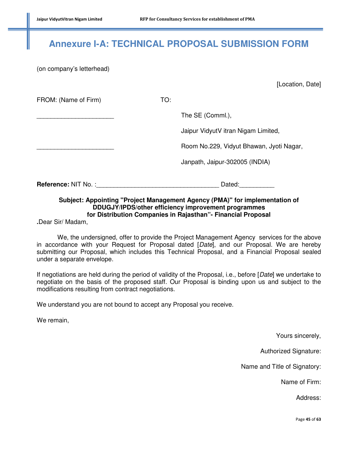# **Annexure I-A: TECHNICAL PROPOSAL SUBMISSION FORM**

(on company's letterhead)

[Location, Date]

FROM: (Name of Firm) TO: The SE (Comml.), Jaipur VidyutV itran Nigam Limited, \_\_\_\_\_\_\_\_\_\_\_\_\_\_\_\_\_\_\_\_\_\_ Room No.229, Vidyut Bhawan, Jyoti Nagar,

Janpath, Jaipur-302005 (INDIA)

**Reference:** NIT No. :\_\_\_\_\_\_\_\_\_\_\_\_\_\_\_\_\_\_\_\_\_\_\_\_\_\_\_\_\_\_\_\_\_\_\_ Dated:\_\_\_\_\_\_\_\_\_\_

#### **Subject: Appointing "Project Management Agency (PMA)" for implementation of DDUGJY/IPDS/other efficiency improvement programmes for Distribution Companies in Rajasthan"- Financial Proposal**

**.**Dear Sir/ Madam,

 We, the undersigned, offer to provide the Project Management Agency services for the above in accordance with your Request for Proposal dated [*Date*], and our Proposal. We are hereby submitting our Proposal, which includes this Technical Proposal, and a Financial Proposal sealed under a separate envelope.

If negotiations are held during the period of validity of the Proposal, i.e., before [*Date*] we undertake to negotiate on the basis of the proposed staff. Our Proposal is binding upon us and subject to the modifications resulting from contract negotiations.

We understand you are not bound to accept any Proposal you receive.

We remain,

Yours sincerely,

Authorized Signature:

Name and Title of Signatory:

Name of Firm:

Address:

Page **45** of **63**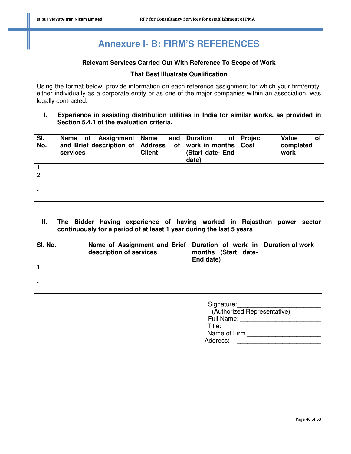# **Annexure I- B: FIRM'S REFERENCES**

#### **Relevant Services Carried Out With Reference To Scope of Work**

#### **That Best Illustrate Qualification**

Using the format below, provide information on each reference assignment for which your firm/entity, either individually as a corporate entity or as one of the major companies within an association, was legally contracted.

**I. Experience in assisting distribution utilities in India for similar works, as provided in Section 5.4.1 of the evaluation criteria.** 

| SI.<br>No.     | Assignment   Name<br>Name of<br>and Brief description of   Address<br>services | <b>Client</b> | and   Duration<br>of work in months Cost<br>(Start date- End<br>date) | of   Project | Value<br>Οl<br>completed<br>work |
|----------------|--------------------------------------------------------------------------------|---------------|-----------------------------------------------------------------------|--------------|----------------------------------|
|                |                                                                                |               |                                                                       |              |                                  |
| $\overline{2}$ |                                                                                |               |                                                                       |              |                                  |
|                |                                                                                |               |                                                                       |              |                                  |
|                |                                                                                |               |                                                                       |              |                                  |
|                |                                                                                |               |                                                                       |              |                                  |

**II. The Bidder having experience of having worked in Rajasthan power sector continuously for a period of at least 1 year during the last 5 years** 

| SI. No. | Name of Assignment and Brief   Duration of work in   Duration of work<br>description of services | months (Start date-<br>End date) |  |
|---------|--------------------------------------------------------------------------------------------------|----------------------------------|--|
|         |                                                                                                  |                                  |  |
|         |                                                                                                  |                                  |  |
|         |                                                                                                  |                                  |  |
|         |                                                                                                  |                                  |  |

| Signature:                  |
|-----------------------------|
| (Authorized Representative) |
| Full Name:                  |
| Title:                      |
| Name of Firm                |
| Address:                    |
|                             |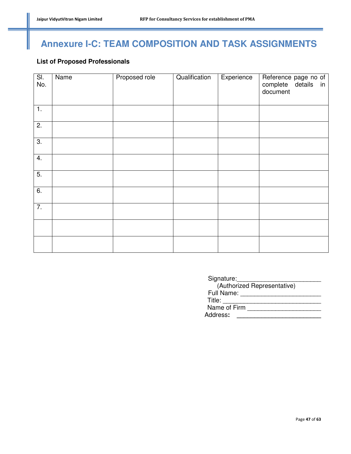# **Annexure I-C: TEAM COMPOSITION AND TASK ASSIGNMENTS**

# **List of Proposed Professionals**

| SI.<br>No.       | Name | Proposed role | Qualification | Experience | Reference page no of<br>complete details in<br>document |
|------------------|------|---------------|---------------|------------|---------------------------------------------------------|
| $\overline{1}$ . |      |               |               |            |                                                         |
| 2.               |      |               |               |            |                                                         |
| $\overline{3}$ . |      |               |               |            |                                                         |
| 4.               |      |               |               |            |                                                         |
| $\overline{5}$ . |      |               |               |            |                                                         |
| 6.               |      |               |               |            |                                                         |
| $\overline{7}$ . |      |               |               |            |                                                         |
|                  |      |               |               |            |                                                         |
|                  |      |               |               |            |                                                         |

| Signature:                  |
|-----------------------------|
| (Authorized Representative) |
| Full Name:                  |
| Title:                      |
| Name of Firm                |
| Address:                    |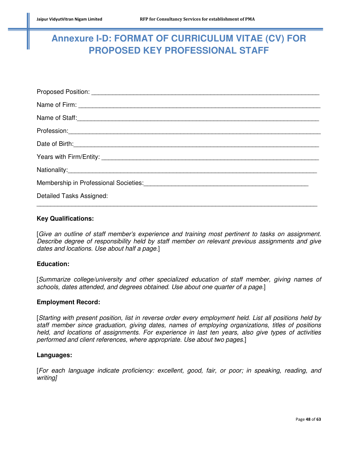# **Annexure I-D: FORMAT OF CURRICULUM VITAE (CV) FOR PROPOSED KEY PROFESSIONAL STAFF**

| Name of Staff: <u>Commission Commission Commission Commission Commission Commission Commission Commission Commission</u>                                                                                                             |
|--------------------------------------------------------------------------------------------------------------------------------------------------------------------------------------------------------------------------------------|
|                                                                                                                                                                                                                                      |
| Date of Birth: <u>Charles and Charles and Charles and Charles and Charles and Charles and Charles and Charles and Charles and Charles and Charles and Charles and Charles and Charles and Charles and Charles and Charles and Ch</u> |
|                                                                                                                                                                                                                                      |
|                                                                                                                                                                                                                                      |
|                                                                                                                                                                                                                                      |
| Detailed Tasks Assigned:                                                                                                                                                                                                             |

#### **Key Qualifications:**

[*Give an outline of staff member's experience and training most pertinent to tasks on assignment. Describe degree of responsibility held by staff member on relevant previous assignments and give dates and locations. Use about half a page.*]

#### **Education:**

[*Summarize college/university and other specialized education of staff member, giving names of schools, dates attended, and degrees obtained. Use about one quarter of a page.*]

#### **Employment Record:**

[*Starting with present position, list in reverse order every employment held. List all positions held by staff member since graduation, giving dates, names of employing organizations, titles of positions held, and locations of assignments. For experience in last ten years, also give types of activities performed and client references, where appropriate. Use about two pages.*]

#### **Languages:**

[*For each language indicate proficiency: excellent, good, fair, or poor; in speaking, reading, and writing]*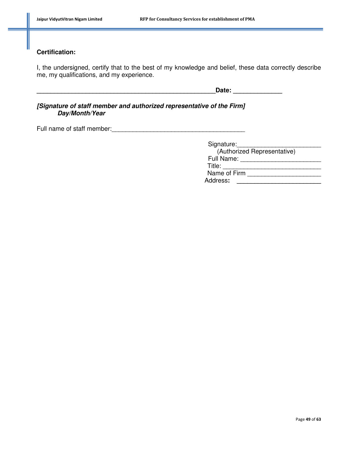# **Certification:**

I, the undersigned, certify that to the best of my knowledge and belief, these data correctly describe me, my qualifications, and my experience.

**\_\_\_\_\_\_\_\_\_\_\_\_\_\_\_\_\_\_\_\_\_\_\_\_\_\_\_\_\_\_\_\_\_\_\_\_\_\_\_\_\_\_\_\_\_\_\_\_\_\_\_Date: \_\_\_\_\_\_\_\_\_\_\_\_\_\_** 

**[Signature of staff member and authorized representative of the Firm] Day/Month/Year** 

Full name of staff member:<br>  $\frac{1}{2}$ 

| Signature:                  |
|-----------------------------|
| (Authorized Representative) |
| Full Name:                  |
| Title:                      |
| Name of Firm                |
| Address:                    |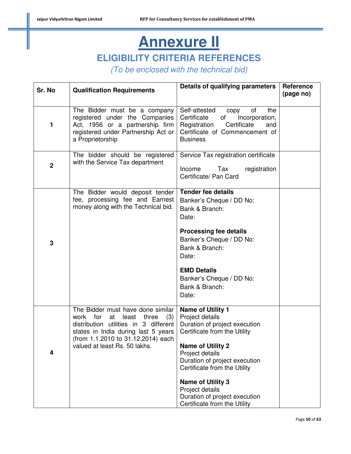# **Annexure II ELIGIBILITY CRITERIA REFERENCES**

*(To be enclosed with the technical bid)* 

| Sr. No      | <b>Qualification Requirements</b>                                                                                                                                                                                                      | Details of qualifying parameters                                                                                                                                     | Reference<br>(page no) |
|-------------|----------------------------------------------------------------------------------------------------------------------------------------------------------------------------------------------------------------------------------------|----------------------------------------------------------------------------------------------------------------------------------------------------------------------|------------------------|
| 1           | The Bidder must be a company<br>registered under the Companies<br>Act, 1956 or a partnership firm<br>registered under Partnership Act or<br>a Proprietorship                                                                           | Self-attested<br>of<br>the<br>copy<br>Certificate<br>of<br>Incorporation,<br>Certificate<br>Registration<br>and<br>Certificate of Commencement of<br><b>Business</b> |                        |
| $\mathbf 2$ | The bidder should be registered<br>with the Service Tax department                                                                                                                                                                     | Service Tax registration certificate<br>Tax<br>Income<br>registration<br>Certificate/ Pan Card                                                                       |                        |
|             | The Bidder would deposit tender<br>fee, processing fee and Earnest<br>money along with the Technical bid.                                                                                                                              | <b>Tender fee details</b><br>Banker's Cheque / DD No:<br>Bank & Branch:<br>Date:                                                                                     |                        |
| 3           |                                                                                                                                                                                                                                        | <b>Processing fee details</b><br>Banker's Cheque / DD No:<br>Bank & Branch:<br>Date:                                                                                 |                        |
|             |                                                                                                                                                                                                                                        | <b>EMD Details</b><br>Banker's Cheque / DD No:<br>Bank & Branch:<br>Date:                                                                                            |                        |
|             | The Bidder must have done similar<br>for<br>at<br>least<br>three<br>(3)<br>work<br>distribution utilities in 3 different<br>states in India during last 5 years<br>(from 1.1.2010 to 31.12.2014) each<br>valued at least Rs. 50 lakhs. | <b>Name of Utility 1</b><br>Project details<br>Duration of project execution<br>Certificate from the Utility<br><b>Name of Utility 2</b>                             |                        |
| 4           |                                                                                                                                                                                                                                        | Project details<br>Duration of project execution<br>Certificate from the Utility                                                                                     |                        |
|             |                                                                                                                                                                                                                                        | <b>Name of Utility 3</b><br>Project details<br>Duration of project execution<br>Certificate from the Utility                                                         |                        |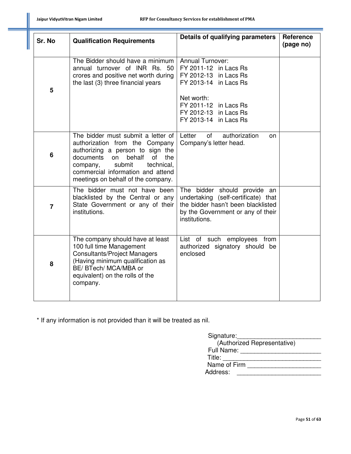| Sr. No         | <b>Qualification Requirements</b>                                                                                                                                                                                                                                 | Details of qualifying parameters                                                                                                                                                            | Reference<br>(page no) |
|----------------|-------------------------------------------------------------------------------------------------------------------------------------------------------------------------------------------------------------------------------------------------------------------|---------------------------------------------------------------------------------------------------------------------------------------------------------------------------------------------|------------------------|
| 5              | The Bidder should have a minimum<br>annual turnover of INR Rs. 50<br>crores and positive net worth during<br>the last (3) three financial years                                                                                                                   | <b>Annual Turnover:</b><br>FY 2011-12 in Lacs Rs<br>FY 2012-13 in Lacs Rs<br>FY 2013-14 in Lacs Rs<br>Net worth:<br>FY 2011-12 in Lacs Rs<br>FY 2012-13 in Lacs Rs<br>FY 2013-14 in Lacs Rs |                        |
| 6              | The bidder must submit a letter of<br>authorization from the Company<br>authorizing a person to sign the<br>documents<br>on<br>behalf<br>of<br>the<br>submit<br>technical,<br>company,<br>commercial information and attend<br>meetings on behalf of the company. | authorization<br>Letter<br>of<br>on<br>Company's letter head.                                                                                                                               |                        |
| $\overline{7}$ | The bidder must not have been<br>blacklisted by the Central or any<br>State Government or any of their<br>institutions.                                                                                                                                           | The bidder should provide an<br>undertaking (self-certificate) that<br>the bidder hasn't been blacklisted<br>by the Government or any of their<br>institutions.                             |                        |
| 8              | The company should have at least<br>100 full time Management<br><b>Consultants/Project Managers</b><br>(Having minimum qualification as<br>BE/ BTech/ MCA/MBA or<br>equivalent) on the rolls of the<br>company.                                                   | List of such employees from<br>authorized signatory should be<br>enclosed                                                                                                                   |                        |

\* If any information is not provided than it will be treated as nil.

| Signature:                  |
|-----------------------------|
| (Authorized Representative) |
| Full Name:                  |
| Title:                      |
| Name of Firm                |
| Address:                    |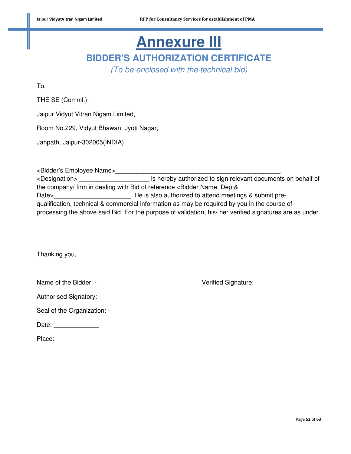# **Annexure III BIDDER'S AUTHORIZATION CERTIFICATE**

*(To be enclosed with the technical bid)* 

To,

THE SE (Comml.),

Jaipur Vidyut Vitran Nigam Limited,

Room No.229, Vidyut Bhawan, Jyoti Nagar,

Janpath, Jaipur-302005(INDIA)

<Bidder's Employee Name>\_\_\_\_\_\_\_\_\_\_\_\_\_\_\_\_\_\_\_\_\_\_\_\_\_\_\_\_\_\_\_\_\_\_\_\_\_\_\_\_\_\_\_\_\_\_\_, <Designation> \_\_\_\_\_\_\_\_\_\_\_\_\_\_\_\_\_\_\_\_ is hereby authorized to sign relevant documents on behalf of the company/ firm in dealing with Bid of reference <Bidder Name, Dept& Date>\_\_\_\_\_\_\_\_\_\_\_\_\_\_\_\_\_\_\_\_\_\_\_\_\_\_\_\_. He is also authorized to attend meetings & submit prequalification, technical & commercial information as may be required by you in the course of processing the above said Bid. For the purpose of validation, his/ her verified signatures are as under.

Thanking you,

Name of the Bidder: - Verified Signature:

| <b>Authorised Signatory: -</b> |
|--------------------------------|
|                                |

Seal of the Organization: -

Date: <u>\_\_\_\_\_\_\_\_\_\_\_\_\_\_\_\_</u>

Place: **Example**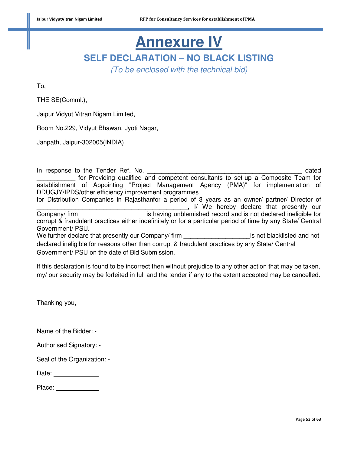# **Annexure IV SELF DECLARATION – NO BLACK LISTING**

*(To be enclosed with the technical bid)* 

To,

THE SE(Comml.),

Jaipur Vidyut Vitran Nigam Limited,

Room No.229, Vidyut Bhawan, Jyoti Nagar,

Janpath, Jaipur-302005(INDIA)

In response to the Tender Ref. No. **Example 20** and the set of the dated \_\_\_\_\_\_\_\_\_\_\_ for Providing qualified and competent consultants to set-up a Composite Team for establishment of Appointing "Project Management Agency (PMA)" for implementation of DDUGJY/IPDS/other efficiency improvement programmes for Distribution Companies in Rajasthanfor a period of 3 years as an owner/ partner/ Director of L., I/ We hereby declare that presently our Company/ firm \_\_\_\_\_\_\_\_\_\_\_\_\_\_\_\_\_\_\_is having unblemished record and is not declared ineligible for corrupt & fraudulent practices either indefinitely or for a particular period of time by any State/ Central Government/ PSU. We further declare that presently our Company/ firm \_\_\_\_\_\_\_\_\_\_\_\_\_\_\_\_\_\_\_\_\_\_\_\_\_\_\_\_ is not blacklisted and not declared ineligible for reasons other than corrupt & fraudulent practices by any State/ Central Government/ PSU on the date of Bid Submission.

If this declaration is found to be incorrect then without prejudice to any other action that may be taken, my/ our security may be forfeited in full and the tender if any to the extent accepted may be cancelled.

Thanking you,

Name of the Bidder: -

Authorised Signatory: -

Seal of the Organization: -

| Date: |  |
|-------|--|
|       |  |

Place: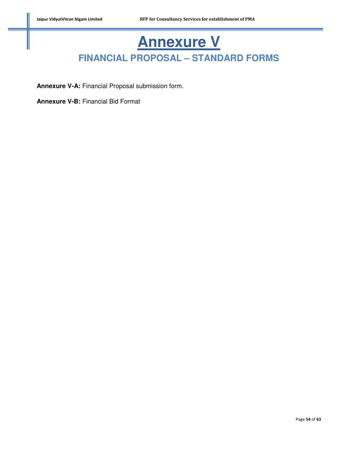# **Annexure V FINANCIAL PROPOSAL – STANDARD FORMS**

**Annexure V-A:** Financial Proposal submission form.

**Annexure V-B:** Financial Bid Format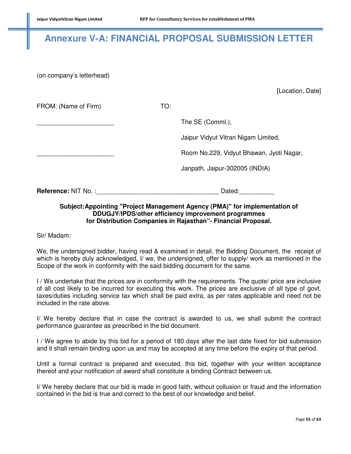# **Annexure V-A: FINANCIAL PROPOSAL SUBMISSION LETTER**

(on company's letterhead)

[Location, Date]

| FROM: (Name of Firm)       | TO: |                                          |
|----------------------------|-----|------------------------------------------|
|                            |     | The SE (Comml.),                         |
|                            |     | Jaipur Vidyut Vitran Nigam Limited,      |
|                            |     | Room No.229, Vidyut Bhawan, Jyoti Nagar, |
|                            |     | Janpath, Jaipur-302005 (INDIA)           |
| <b>Reference: NIT No.:</b> |     | Dated:                                   |

#### **Subject:Appointing "Project Management Agency (PMA)" for implementation of DDUGJY/IPDS/other efficiency improvement programmes for Distribution Companies in Rajasthan"- Financial Proposal.**

Sir/ Madam:

We, the undersigned bidder, having read & examined in detail, the Bidding Document, the receipt of which is hereby duly acknowledged, I/ we, the undersigned, offer to supply/ work as mentioned in the Scope of the work in conformity with the said bidding document for the same.

I / We undertake that the prices are in conformity with the requirements. The quote/ price are inclusive of all cost likely to be incurred for executing this work. The prices are exclusive of all type of govt. taxes/duties including service tax which shall be paid extra, as per rates applicable and need not be included in the rate above.

I/ We hereby declare that in case the contract is awarded to us, we shall submit the contract performance guarantee as prescribed in the bid document.

I / We agree to abide by this bid for a period of 180 days after the last date fixed for bid submission and it shall remain binding upon us and may be accepted at any time before the expiry of that period.

Until a formal contract is prepared and executed, this bid, together with your written acceptance thereof and your notification of award shall constitute a binding Contract between us.

I/ We hereby declare that our bid is made in good faith, without collusion or fraud and the information contained in the bid is true and correct to the best of our knowledge and belief.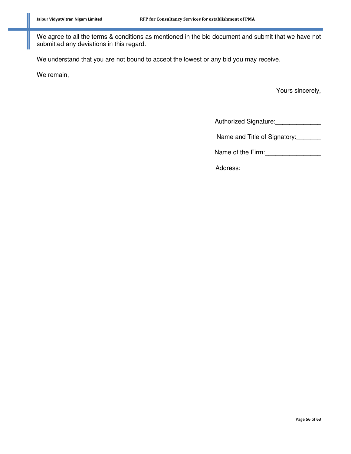We agree to all the terms & conditions as mentioned in the bid document and submit that we have not submitted any deviations in this regard.

We understand that you are not bound to accept the lowest or any bid you may receive.

We remain,

Yours sincerely,

Authorized Signature:

Name and Title of Signatory:

Name of the Firm:

| Address: |  |  |  |  |  |  |  |  |  |
|----------|--|--|--|--|--|--|--|--|--|
|          |  |  |  |  |  |  |  |  |  |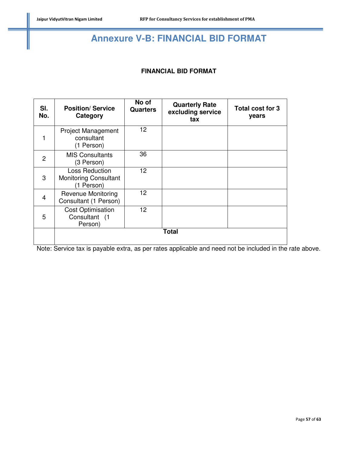# **Annexure V-B: FINANCIAL BID FORMAT**

#### **FINANCIAL BID FORMAT**

| SI.<br>No. | <b>Position/Service</b><br>Category                          | No of<br><b>Quarters</b> | <b>Quarterly Rate</b><br>excluding service<br>tax | Total cost for 3<br>years |
|------------|--------------------------------------------------------------|--------------------------|---------------------------------------------------|---------------------------|
| 1          | <b>Project Management</b><br>consultant<br>(1 Person)        | 12 <sup>2</sup>          |                                                   |                           |
| 2          | <b>MIS Consultants</b><br>(3 Person)                         | 36                       |                                                   |                           |
| 3          | Loss Reduction<br><b>Monitoring Consultant</b><br>(1 Person) | 12 <sup>2</sup>          |                                                   |                           |
| 4          | <b>Revenue Monitoring</b><br>Consultant (1 Person)           | 12 <sup>2</sup>          |                                                   |                           |
| 5          | <b>Cost Optimisation</b><br>Consultant (1<br>Person)         | 12 <sup>2</sup>          |                                                   |                           |
|            |                                                              |                          | Total                                             |                           |

Note: Service tax is payable extra, as per rates applicable and need not be included in the rate above.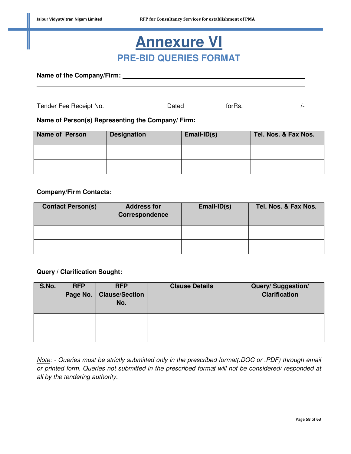# **Annexure VI PRE-BID QUERIES FORMAT**

**Name of the Company/Firm:** 

l

Tender Fee Receipt No.\_\_\_\_\_\_\_\_\_\_\_\_\_\_\_\_\_\_\_\_\_\_Dated\_\_\_\_\_\_\_\_\_\_\_\_\_\_forRs. \_\_\_\_\_\_\_\_\_\_\_\_\_\_\_\_\_\_\_\_\_/-

#### **Name of Person(s) Representing the Company/ Firm:**

| Name of Person | <b>Designation</b> | $Email-ID(s)$ | Tel. Nos. & Fax Nos. |
|----------------|--------------------|---------------|----------------------|
|                |                    |               |                      |
|                |                    |               |                      |

#### **Company/Firm Contacts:**

| <b>Contact Person(s)</b> | <b>Address for</b><br><b>Correspondence</b> | Email-ID(s) | Tel. Nos. & Fax Nos. |
|--------------------------|---------------------------------------------|-------------|----------------------|
|                          |                                             |             |                      |
|                          |                                             |             |                      |

#### **Query / Clarification Sought:**

| S.No. | <b>RFP</b><br>Page No. $\vert$ | <b>RFP</b><br><b>Clause/Section</b><br>No. | <b>Clause Details</b> | Query/Suggestion/<br><b>Clarification</b> |
|-------|--------------------------------|--------------------------------------------|-----------------------|-------------------------------------------|
|       |                                |                                            |                       |                                           |
|       |                                |                                            |                       |                                           |

*Note: - Queries must be strictly submitted only in the prescribed format(.DOC or .PDF) through email or printed form. Queries not submitted in the prescribed format will not be considered/ responded at all by the tendering authority.*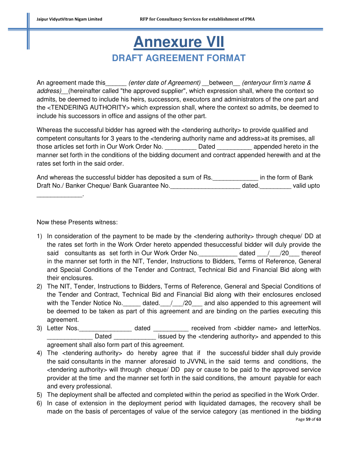# **Annexure VII DRAFT AGREEMENT FORMAT**

An agreement made this *(enter date of Agreement)* between *(enteryour firm's name & address)\_\_*(hereinafter called "the approved supplier", which expression shall, where the context so admits, be deemed to include his heirs, successors, executors and administrators of the one part and the <TENDERING AUTHORITY> which expression shall, where the context so admits, be deemed to include his successors in office and assigns of the other part.

Whereas the successful bidder has agreed with the <tendering authority to provide qualified and competent consultants for 3 years to the <tendering authority name and address>at its premises, all those articles set forth in Our Work Order No. \_\_\_\_\_\_\_\_\_ Dated \_\_\_\_\_\_\_\_\_\_ appended hereto in the manner set forth in the conditions of the bidding document and contract appended herewith and at the rates set forth in the said order.

And whereas the successful bidder has deposited a sum of Rs. The Collection of Bank Draft No./ Banker Cheque/ Bank Guarantee No. \_\_\_\_\_\_\_\_\_\_\_\_\_\_\_\_\_\_\_\_\_\_\_\_\_\_\_\_\_\_\_dated. \_\_\_\_\_\_\_\_\_\_\_\_\_\_valid upto

#### Now these Presents witness:

\_\_\_\_\_\_\_\_\_\_\_\_\_.

- 1) In consideration of the payment to be made by the <tendering authority> through cheque/ DD at the rates set forth in the Work Order hereto appended thesuccessful bidder will duly provide the said consultants as set forth in Our Work Order No. Thereof dated  $/$  /20 thereof in the manner set forth in the NIT, Tender, Instructions to Bidders, Terms of Reference, General and Special Conditions of the Tender and Contract, Technical Bid and Financial Bid along with their enclosures.
- 2) The NIT, Tender, Instructions to Bidders, Terms of Reference, General and Special Conditions of the Tender and Contract, Technical Bid and Financial Bid along with their enclosures enclosed with the Tender Notice No.  $\frac{d}{dx}$  dated.  $\frac{d}{dx}$  / 20 and also appended to this agreement will be deemed to be taken as part of this agreement and are binding on the parties executing this agreement.
- 3) Letter Nos. \_\_\_\_\_\_\_\_\_\_\_\_\_\_\_\_\_\_\_ dated \_\_\_\_\_\_\_\_\_\_\_\_ received from <bidder name> and letterNos. \_\_\_\_\_\_\_\_\_\_\_\_\_ Dated \_\_\_\_\_\_\_\_\_\_\_\_ issued by the <tendering authority> and appended to this agreement shall also form part of this agreement.
- 4) The <tendering authority> do hereby agree that if the successful bidder shall duly provide the said consultants in the manner aforesaid to JVVNL in the said terms and conditions, the <tendering authority> will through cheque/ DD pay or cause to be paid to the approved service provider at the time and the manner set forth in the said conditions, the amount payable for each and every professional.
- 5) The deployment shall be affected and completed within the period as specified in the Work Order.
- 6) In case of extension in the deployment period with liquidated damages, the recovery shall be made on the basis of percentages of value of the service category (as mentioned in the bidding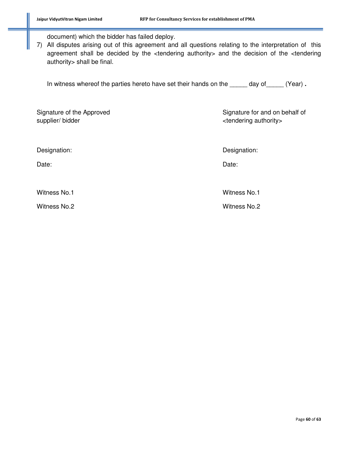document) which the bidder has failed deploy.

7) All disputes arising out of this agreement and all questions relating to the interpretation of this agreement shall be decided by the <tendering authority> and the decision of the <tendering authority> shall be final.

In witness whereof the parties hereto have set their hands on the \_\_\_\_\_ day of\_\_\_\_\_ (Year) **.** 

| Signature of the Approved<br>supplier/bidder | Signature for and on behalf of<br><tendering authority=""></tendering> |
|----------------------------------------------|------------------------------------------------------------------------|
| Designation:                                 | Designation:                                                           |
| Date:                                        | Date:                                                                  |
| <b>Witness No.1</b>                          | <b>Witness No.1</b>                                                    |
| Witness No.2                                 | <b>Witness No.2</b>                                                    |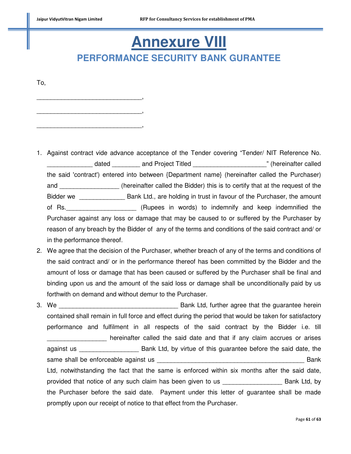\_\_\_\_\_\_\_\_\_\_\_\_\_\_\_\_\_\_\_\_\_\_\_\_\_\_\_\_\_\_,

\_\_\_\_\_\_\_\_\_\_\_\_\_\_\_\_\_\_\_\_\_\_\_\_\_\_\_\_\_\_,

\_\_\_\_\_\_\_\_\_\_\_\_\_\_\_\_\_\_\_\_\_\_\_\_\_\_\_\_\_\_,

# **Annexure VIII PERFORMANCE SECURITY BANK GURANTEE**

To,

- 1. Against contract vide advance acceptance of the Tender covering "Tender/ NIT Reference No. dated and Project Titled **Example 20** and  $\frac{1}{2}$  and  $\frac{1}{2}$  and  $\frac{1}{2}$  and  $\frac{1}{2}$  and  $\frac{1}{2}$  and  $\frac{1}{2}$  and  $\frac{1}{2}$  and  $\frac{1}{2}$  and  $\frac{1}{2}$  and  $\frac{1}{2}$  and  $\frac{1}{2}$  and  $\frac{1}{2}$  and  $\frac{1}{2}$  an the said 'contract') entered into between {Department name} (hereinafter called the Purchaser) and \_\_\_\_\_\_\_\_\_\_\_\_\_\_\_\_\_\_\_\_ (hereinafter called the Bidder) this is to certify that at the request of the Bidder we \_\_\_\_\_\_\_\_\_\_\_\_\_\_\_\_ Bank Ltd., are holding in trust in favour of the Purchaser, the amount of Rs.\_\_\_\_\_\_\_\_\_\_\_\_\_\_\_\_\_\_\_\_ (Rupees in words) to indemnify and keep indemnified the Purchaser against any loss or damage that may be caused to or suffered by the Purchaser by reason of any breach by the Bidder of any of the terms and conditions of the said contract and/ or in the performance thereof.
- 2. We agree that the decision of the Purchaser, whether breach of any of the terms and conditions of the said contract and/ or in the performance thereof has been committed by the Bidder and the amount of loss or damage that has been caused or suffered by the Purchaser shall be final and binding upon us and the amount of the said loss or damage shall be unconditionally paid by us forthwith on demand and without demur to the Purchaser.
- 3. We \_\_\_\_\_\_\_\_\_\_\_\_\_\_\_\_\_\_\_\_\_\_\_\_\_\_\_\_\_\_\_\_\_\_ Bank Ltd, further agree that the guarantee herein contained shall remain in full force and effect during the period that would be taken for satisfactory performance and fulfilment in all respects of the said contract by the Bidder i.e. till hereinafter called the said date and that if any claim accrues or arises against us \_\_\_\_\_\_\_\_\_\_\_\_\_\_\_\_\_\_\_\_\_\_\_ Bank Ltd, by virtue of this guarantee before the said date, the same shall be enforceable against us **Example 2018** and the state of Bank Ltd, notwithstanding the fact that the same is enforced within six months after the said date, provided that notice of any such claim has been given to us \_\_\_\_\_\_\_\_\_\_\_\_\_\_\_\_\_ Bank Ltd, by the Purchaser before the said date. Payment under this letter of guarantee shall be made promptly upon our receipt of notice to that effect from the Purchaser.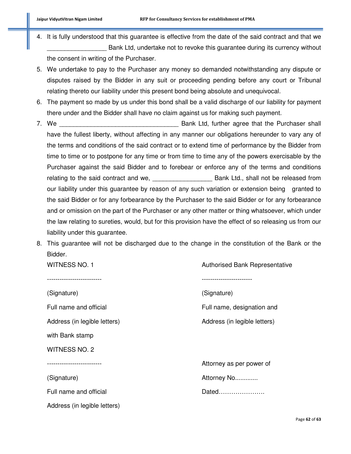- 4. It is fully understood that this guarantee is effective from the date of the said contract and that we Bank Ltd, undertake not to revoke this guarantee during its currency without the consent in writing of the Purchaser.
- 5. We undertake to pay to the Purchaser any money so demanded notwithstanding any dispute or disputes raised by the Bidder in any suit or proceeding pending before any court or Tribunal relating thereto our liability under this present bond being absolute and unequivocal.
- 6. The payment so made by us under this bond shall be a valid discharge of our liability for payment there under and the Bidder shall have no claim against us for making such payment.
- 7. We **The Contract Contract Contract Contract Contract Contract Contract Contract Contract Contract Contract Contract Contract Contract Contract Contract Contract Contract Contract Contract Contract Contract Contract Cont** have the fullest liberty, without affecting in any manner our obligations hereunder to vary any of the terms and conditions of the said contract or to extend time of performance by the Bidder from time to time or to postpone for any time or from time to time any of the powers exercisable by the Purchaser against the said Bidder and to forebear or enforce any of the terms and conditions relating to the said contract and we, \_\_\_\_\_\_\_\_\_\_\_\_\_\_\_\_\_ Bank Ltd., shall not be released from our liability under this guarantee by reason of any such variation or extension being granted to the said Bidder or for any forbearance by the Purchaser to the said Bidder or for any forbearance and or omission on the part of the Purchaser or any other matter or thing whatsoever, which under the law relating to sureties, would, but for this provision have the effect of so releasing us from our liability under this guarantee.
- 8. This guarantee will not be discharged due to the change in the constitution of the Bank or the Bidder.

| WITNESS NO. 1                | <b>Authorised Bank Representative</b> |
|------------------------------|---------------------------------------|
|                              |                                       |
| (Signature)                  | (Signature)                           |
| Full name and official       | Full name, designation and            |
| Address (in legible letters) | Address (in legible letters)          |
| with Bank stamp              |                                       |
| WITNESS NO. 2                |                                       |
|                              | Attorney as per power of              |
| (Signature)                  | Attorney No                           |
| Full name and official       | Dated                                 |
| Address (in legible letters) |                                       |